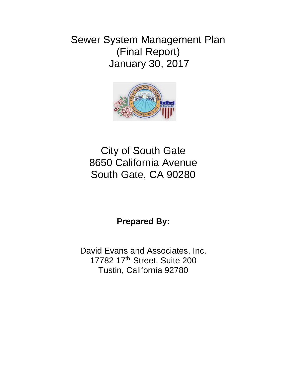Sewer System Management Plan (Final Report) January 30, 2017



# City of South Gate 8650 California Avenue South Gate, CA 90280

**Prepared By:**

David Evans and Associates, Inc. 17782 17th Street, Suite 200 Tustin, California 92780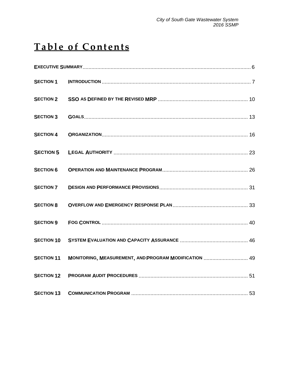# **Table of Contents**

| <b>SECTION 1</b>  |                                                       |  |
|-------------------|-------------------------------------------------------|--|
| <b>SECTION 2</b>  |                                                       |  |
| <b>SECTION 3</b>  |                                                       |  |
| <b>SECTION 4</b>  |                                                       |  |
| <b>SECTION 5</b>  |                                                       |  |
| <b>SECTION 6</b>  |                                                       |  |
| <b>SECTION 7</b>  |                                                       |  |
| <b>SECTION 8</b>  |                                                       |  |
| <b>SECTION 9</b>  |                                                       |  |
| <b>SECTION 10</b> |                                                       |  |
| <b>SECTION 11</b> | MONITORING, MEASUREMENT, AND PROGRAM MODIFICATION  49 |  |
| <b>SECTION 12</b> |                                                       |  |
|                   |                                                       |  |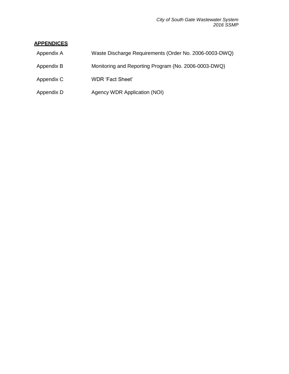## **APPENDICES**

- Appendix A Waste Discharge Requirements (Order No. 2006-0003-DWQ)
- Appendix B Monitoring and Reporting Program (No. 2006-0003-DWQ)
- Appendix C WDR 'Fact Sheet'
- Appendix D Agency WDR Application (NOI)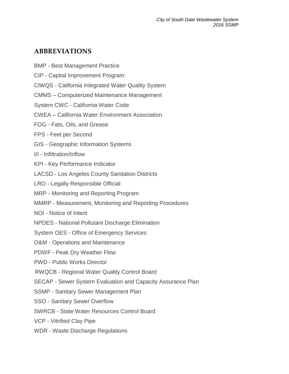# **ABBREVIATIONS**

- BMP Best Management Practice
- CIP Capital Improvement Program
- CIWQS California Integrated Water Quality System
- CMMS Computerized Maintenance Management
- System CWC California Water Code
- CWEA California Water Environment Association
- FOG Fats, Oils, and Grease
- FPS Feet per Second
- GIS Geographic Information Systems
- I/I Infiltration/Inflow
- KPI Key Performance Indicator
- LACSD Los Angeles County Sanitation Districts
- LRO Legally Responsible Official
- MRP Monitoring and Reporting Program
- MMRP Measurement, Monitoring and Reporting Procedures
- NOI Notice of Intent
- NPDES National Pollutant Discharge Elimination
- System OES Office of Emergency Services
- O&M Operations and Maintenance
- PDWF Peak Dry Weather Flow
- PWD Public Works Director
- RWQCB Regional Water Quality Control Board
- SECAP Sewer System Evaluation and Capacity Assurance Plan
- SSMP Sanitary Sewer Management Plan
- SSO Sanitary Sewer Overflow
- SWRCB State Water Resources Control Board
- VCP Vitrified Clay Pipe
- WDR Waste Discharge Regulations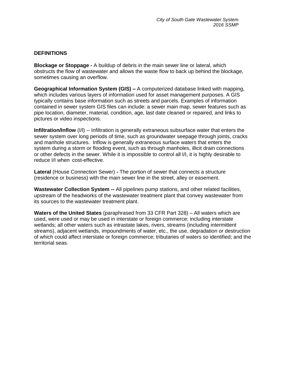#### **DEFINITIONS**

**Blockage or Stoppage -** A buildup of debris in the main sewer line or lateral, which obstructs the flow of wastewater and allows the waste flow to back up behind the blockage, sometimes causing an overflow.

**Geographical Information System (GIS) –** A computerized database linked with mapping, which includes various layers of information used for asset management purposes. A GIS typically contains base information such as streets and parcels. Examples of information contained in sewer system GIS files can include: a sewer main map, sewer features such as pipe location, diameter, material, condition, age, last date cleaned or repaired, and links to pictures or video inspections.

**Infiltration/Inflow** (I/l) -- Infiltration is generally extraneous subsurface water that enters the sewer system over long periods of time, such as groundwater seepage through joints, cracks and manhole structures. Inflow is generally extraneous surface waters that enters the system during a storm or flooding event, such as through manholes, illicit drain connections or other defects in the sewer. While it is impossible to control all I/I, it is highly desirable to reduce I/I when cost-effective.

**Lateral** (House Connection Sewer) **-** The portion of sewer that connects a structure (residence or business) with the main sewer line in the street, alley or easement.

**Wastewater Collection System --** All pipelines pump stations, and other related facilities, upstream of the headworks of the wastewater treatment plant that convey wastewater from its sources to the wastewater treatment plant.

**Waters of the United States** (paraphrased from 33 CFR Part 328) – All waters which are used, were used or may be used in interstate or foreign commerce; including interstate wetlands; all other waters such as intrastate lakes, rivers, streams (including intermittent streams), adjacent wetlands, impoundments of water, etc., the use, degradation or destruction of which could affect interstate or foreign commerce; tributaries of waters so identified; and the territorial seas.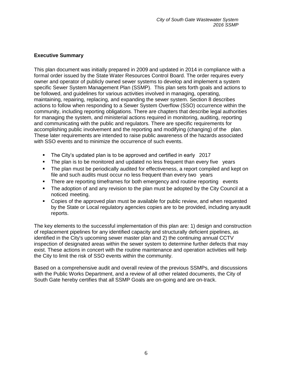#### <span id="page-5-0"></span>**Executive Summary**

This plan document was initially prepared in 2009 and updated in 2014 in compliance with a formal order issued by the State Water Resources Control Board. The order requires every owner and operator of publicly owned sewer systems to develop and implement a system specific Sewer System Management Plan (SSMP). This plan sets forth goals and actions to be followed, and guidelines for various activities involved in managing, operating, maintaining, repairing, replacing, and expanding the sewer system. Section 8 describes actions to follow when responding to a Sewer System Overflow (SSO) occurrence within the community, including reporting obligations. There are chapters that describe legal authorities for managing the system, and ministerial actions required in monitoring, auditing, reporting and communicating with the public and regulators. There are specific requirements for accomplishing public involvement and the reporting and modifying (changing) of the plan. These later requirements are intended to raise public awareness of the hazards associated with SSO events and to minimize the occurrence of such events.

- The City's updated plan is to be approved and certified in early 2017
- The plan is to be monitored and updated no less frequent than every five years
- The plan must be periodically audited for effectiveness, a report compiled and kept on file and such audits must occur no less frequent than every two years
- There are reporting timeframes for both emergency and routine reporting events
- The adoption of and any revision to the plan must be adopted by the City Council at a noticed meeting.
- Copies of the approved plan must be available for public review, and when requested by the State or Local regulatory agencies copies are to be provided, including anyaudit reports.

The key elements to the successful implementation of this plan are: 1) design and construction of replacement pipelines for any identified capacity and structurally deficient pipelines, as identified in the City's upcoming sewer master plan and 2) the continuing annual CCTV inspection of designated areas within the sewer system to determine further defects that may exist. These actions in concert with the routine maintenance and operation activities will help the City to limit the risk of SSO events within the community.

Based on a comprehensive audit and overall review of the previous SSMPs, and discussions with the Public Works Department, and a review of all other related documents, the City of South Gate hereby certifies that all SSMP Goals are on-going and are on-track.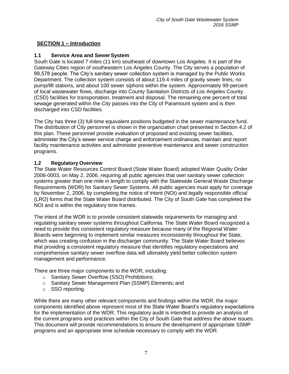## <span id="page-6-0"></span>**SECTION 1 – Introduction**

#### **1.1 Service Area and SewerSystem**

South Gate is located 7 miles (11 km) southeast of downtown Los Angeles. It is part of the Gateway Cities region of southeastern Los Angeles County. The City serves a population of 99,578 people. The City's sanitary sewer collection system is managed by the Public Works Department. The collection system consists of about 119.4 miles of gravity sewer lines, no pump/lift stations, and about 100 sewer siphons within the system. Approximately 99-percent of local wastewater flows, discharge into County Sanitation Districts of Los Angeles County (CSD) facilities for transportation, treatment and disposal. The remaining one percent of total sewage generated within the City passes into the City of Paramount system and is then discharged into CSD facilities.

The City has three (3) full-time equivalent positions budgeted in the sewer maintenance fund. The distribution of City personnel is shown in the organization chart presented in Section 4.2 of this plan. These personnel provide evaluation of proposed and existing sewer facilities, administer the City's sewer service charge and enforcement ordinances, maintain and report facility maintenance activities and administer preventive maintenance and sewer construction programs.

#### **1.2 Regulatory Overview**

The State Water Resources Control Board (State Water Board) adopted Water Quality Order 2006-0003, on May 2, 2006, requiring all public agencies that own sanitary sewer collection systems greater than one mile in length to comply with the Statewide General Waste Discharge Requirements (WDR) for Sanitary Sewer Systems. All public agencies must apply for coverage by November 2, 2006, by completing the notice of intent (NOI) and legally responsible official (LRO) forms that the State Water Board distributed. The City of South Gate has completed the NOI and is within the regulatory time frames.

The intent of the WDR is to provide consistent statewide requirements for managing and regulating sanitary sewer systems throughout California. The State Water Board recognized a need to provide this consistent regulatory measure because many of the Regional Water Boards were beginning to implement similar measures inconsistently throughout the State, which was creating confusion in the discharger community. The State Water Board believes that providing a consistent regulatory measure that identifies regulatory expectations and comprehensive sanitary sewer overflow data will ultimately yield better collection system management and performance.

There are three major components to the WDR, including:

- o Sanitary Sewer Overflow (SSO) Prohibitions;
- o Sanitary Sewer Management Plan (SSMP) Elements; and
- o SSO reporting.

While there are many other relevant components and findings within the WDR, the major components identified above represent most of the State Water Board's regulatory expectations for the implementation of the WDR. This regulatory audit is intended to provide an analysis of the current programs and practices within the City of South Gate that address the above issues. This document will provide recommendations to ensure the development of appropriate SSMP programs and an appropriate time schedule necessary to comply with the WDR.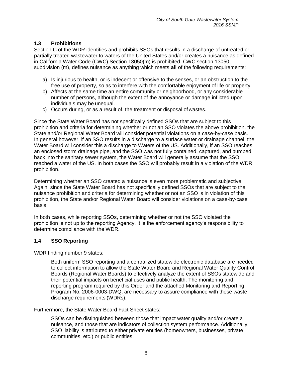## **1.3 Prohibitions**

Section C of the WDR identifies and prohibits SSOs that results in a discharge of untreated or partially treated wastewater to waters of the United States and/or creates a nuisance as defined in California Water Code (CWC) Section 13050(m) is prohibited. CWC section 13050, subdivision (m), defines nuisance as anything which meets **all** of the following requirements:

- a) Is injurious to health, or is indecent or offensive to the senses, or an obstruction to the free use of property, so as to interfere with the comfortable enjoyment of life or property.
- b) Affects at the same time an entire community or neighborhood, or any considerable number of persons, although the extent of the annoyance or damage inflicted upon individuals may be unequal.
- c) Occurs during, or as a result of, the treatment or disposal of wastes.

Since the State Water Board has not specifically defined SSOs that are subject to this prohibition and criteria for determining whether or not an SSO violates the above prohibition, the State and/or Regional Water Board will consider potential violations on a case-by-case basis. In general however, if an SSO results in a discharge to a surface water or drainage channel, the Water Board will consider this a discharge to Waters of the US. Additionally, if an SSO reaches an enclosed storm drainage pipe, and the SSO was not fully contained, captured, and pumped back into the sanitary sewer system, the Water Board will generally assume that the SSO reached a water of the US. In both cases the SSO will probably result in a violation of the WDR prohibition.

Determining whether an SSO created a nuisance is even more problematic and subjective. Again, since the State Water Board has not specifically defined SSOs that are subject to the nuisance prohibition and criteria for determining whether or not an SSO is in violation of this prohibition, the State and/or Regional Water Board will consider violations on a case-by-case basis.

In both cases, while reporting SSOs, determining whether or not the SSO violated the prohibition is not up to the reporting Agency. It is the enforcement agency's responsibility to determine compliance with the WDR.

#### **1.4 SSO Reporting**

WDR finding number 9 states:

Both uniform SSO reporting and a centralized statewide electronic database are needed to collect information to allow the State Water Board and Regional Water Quality Control Boards (Regional Water Boards) to effectively analyze the extent of SSOs statewide and their potential impacts on beneficial uses and public health. The monitoring and reporting program required by this Order and the attached Monitoring and Reporting Program No. 2006-0003-DWQ, are necessary to assure compliance with these waste discharge requirements (WDRs).

Furthermore, the State Water Board Fact Sheet states:

SSOs can be distinguished between those that impact water quality and/or create a nuisance, and those that are indicators of collection system performance. Additionally, SSO liability is attributed to either private entities (homeowners, businesses, private communities, etc.) or public entities.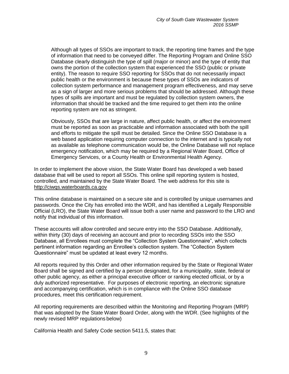Although all types of SSOs are important to track, the reporting time frames and the type of information that need to be conveyed differ. The Reporting Program and Online SSO Database clearly distinguish the type of spill (major or minor) and the type of entity that owns the portion of the collection system that experienced the SSO (public or private entity). The reason to require SSO reporting for SSOs that do not necessarily impact public health or the environment is because these types of SSOs are indicators of collection system performance and management program effectiveness, and may serve as a sign of larger and more serious problems that should be addressed. Although these types of spills are important and must be regulated by collection system owners, the information that should be tracked and the time required to get them into the online reporting system are not as stringent.

Obviously, SSOs that are large in nature, affect public health, or affect the environment must be reported as soon as practicable and information associated with both the spill and efforts to mitigate the spill must be detailed. Since the Online SSO Database is a web based application requiring computer connection to the internet and is typically not as available as telephone communication would be, the Online Database will not replace emergency notification, which may be required by a Regional Water Board, Office of Emergency Services, or a County Health or Environmental Health Agency.

In order to implement the above vision, the State Water Board has developed a web based database that will be used to report all SSOs. This online spill reporting system is hosted, controlled, and maintained by the State Water Board. The web address for this site is [http://ciwqs.waterboards.ca.gov](http://ciwqs.waterboards.ca.gov/)

This online database is maintained on a secure site and is controlled by unique usernames and passwords. Once the City has enrolled into the WDR, and has identified a Legally Responsible Official (LRO), the State Water Board will issue both a user name and password to the LRO and notify that individual of this information.

These accounts will allow controlled and secure entry into the SSO Database. Additionally, within thirty (30) days of receiving an account and prior to recording SSOs into the SSO Database, all Enrollees must complete the "Collection System Questionnaire", which collects pertinent information regarding an Enrollee's collection system. The "Collection System Questionnaire" must be updated at least every 12 months.

All reports required by this Order and other information required by the State or Regional Water Board shall be signed and certified by a person designated, for a municipality, state, federal or other public agency, as either a principal executive officer or ranking elected official, or by a duly authorized representative. For purposes of electronic reporting, an electronic signature and accompanying certification, which is in compliance with the Online SSO database procedures, meet this certification requirement.

All reporting requirements are described within the Monitoring and Reporting Program (MRP) that was adopted by the State Water Board Order, along with the WDR. (See highlights of the newly revised MRP regulations below)

California Health and Safety Code section 5411.5, states that: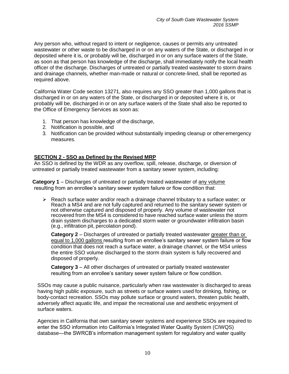Any person who, without regard to intent or negligence, causes or permits any untreated wastewater or other waste to be discharged in or on any waters of the State, or discharged in or deposited where it is, or probably will be, discharged in or on any surface waters of the State, as soon as that person has knowledge of the discharge, shall immediately notify the local health officer of the discharge. Discharges of untreated or partially treated wastewater to storm drains and drainage channels, whether man-made or natural or concrete-lined, shall be reported as required above.

California Water Code section 13271, also requires any SSO greater than 1,000 gallons that is discharged in or on any waters of the State, or discharged in or deposited where it is, or probably will be, discharged in or on any surface waters of the State shall also be reported to the Office of Emergency Services as soon as:

- 1. That person has knowledge of the discharge,
- 2. Notification is possible, and
- 3. Notification can be provided without substantially impeding cleanup or otheremergency measures.

#### <span id="page-9-0"></span>**SECTION 2 - SSO as Defined by the Revised MRP**

An SSO is defined by the WDR as any overflow, spill, release, discharge, or diversion of untreated or partially treated wastewater from a sanitary sewer system, including:

**Category 1** – Discharges of untreated or partially treated wastewater of any volume resulting from an enrollee's sanitary sewer system failure or flow condition that:

 $\triangleright$  Reach surface water and/or reach a drainage channel tributary to a surface water; or Reach a MS4 and are not fully captured and returned to the sanitary sewer system or not otherwise captured and disposed of properly. Any volume of wastewater not recovered from the MS4 is considered to have reached surface water unless the storm drain system discharges to a dedicated storm water or groundwater infiltration basin (e.g., infiltration pit, percolation pond).

**Category 2** – Discharges of untreated or partially treated wastewater greater than or equal to 1,000 gallons resulting from an enrollee's sanitary sewer system failure or flow condition that does not reach a surface water, a drainage channel, or the MS4 unless the entire SSO volume discharged to the storm drain system is fully recovered and disposed of properly.

**Category 3** – All other discharges of untreated or partially treated wastewater resulting from an enrollee's sanitary sewer system failure or flow condition.

SSOs may cause a public nuisance, particularly when raw wastewater is discharged to areas having high public exposure, such as streets or surface waters used for drinking, fishing, or body-contact recreation. SSOs may pollute surface or ground waters, threaten public health, adversely affect aquatic life, and impair the recreational use and aesthetic enjoyment of surface waters.

Agencies in California that own sanitary sewer systems and experience SSOs are required to enter the SSO information into California's Integrated Water Quality System (CIWQS) database—the SWRCB's information management system for regulatory and water quality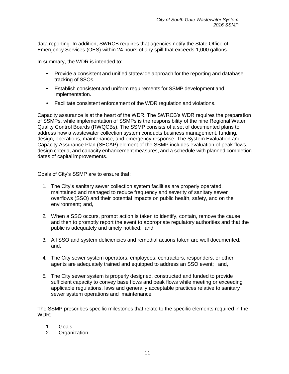data reporting. In addition, SWRCB requires that agencies notify the State Office of Emergency Services (OES) within 24 hours of any spill that exceeds 1,000 gallons.

In summary, the WDR is intended to:

- Provide a consistent and unified statewide approach for the reporting and database tracking of SSOs.
- Establish consistent and uniform requirements for SSMP development and implementation.
- Facilitate consistent enforcement of the WDR regulation and violations.

Capacity assurance is at the heart of the WDR. The SWRCB's WDR requires the preparation of SSMPs, while implementation of SSMPs is the responsibility of the nine Regional Water Quality Control Boards (RWQCBs). The SSMP consists of a set of documented plans to address how a wastewater collection system conducts business management, funding, design, operations, maintenance, and emergency response. The System Evaluation and Capacity Assurance Plan (SECAP) element of the SSMP includes evaluation of peak flows, design criteria, and capacity enhancement measures, and a schedule with planned completion dates of capital improvements.

Goals of City's SSMP are to ensure that:

- 1. The City's sanitary sewer collection system facilities are properly operated, maintained and managed to reduce frequency and severity of sanitary sewer overflows (SSO) and their potential impacts on public health, safety, and on the environment; and,
- 2. When a SSO occurs, prompt action is taken to identify, contain, remove the cause and then to promptly report the event to appropriate regulatory authorities and that the public is adequately and timely notified; and,
- 3. All SSO and system deficiencies and remedial actions taken are well documented; and,
- 4. The City sewer system operators, employees, contractors, responders, or other agents are adequately trained and equipped to address an SSO event; and,
- 5. The City sewer system is properly designed, constructed and funded to provide sufficient capacity to convey base flows and peak flows while meeting or exceeding applicable regulations, laws and generally acceptable practices relative to sanitary sewer system operations and maintenance.

The SSMP prescribes specific milestones that relate to the specific elements required in the WDR:

- 1. Goals,
- 2. Organization,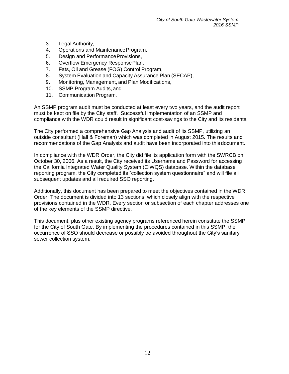- 3. Legal Authority,
- 4. Operations and MaintenanceProgram,
- 5. Design and Performance Provisions,
- 6. Overflow Emergency ResponsePlan,
- 7. Fats, Oil and Grease (FOG) Control Program,
- 8. System Evaluation and Capacity Assurance Plan (SECAP),
- 9. Monitoring, Management, and Plan Modifications,
- 10. SSMP Program Audits, and
- 11. Communication Program.

An SSMP program audit must be conducted at least every two years, and the audit report must be kept on file by the City staff. Successful implementation of an SSMP and compliance with the WDR could result in significant cost-savings to the City and its residents.

The City performed a comprehensive Gap Analysis and audit of its SSMP, utilizing an outside consultant (Hall & Foreman) which was completed in August 2015. The results and recommendations of the Gap Analysis and audit have been incorporated into this document.

In compliance with the WDR Order, the City did file its application form with the SWRCB on October 30, 2006. As a result, the City received its Username and Password for accessing the California Integrated Water Quality System (CIWQS) database. Within the database reporting program, the City completed its "collection system questionnaire" and will file all subsequent updates and all required SSO reporting.

Additionally, this document has been prepared to meet the objectives contained in the WDR Order. The document is divided into 13 sections, which closely align with the respective provisions contained in the WDR. Every section or subsection of each chapter addresses one of the key elements of the SSMP directive.

This document, plus other existing agency programs referenced herein constitute the SSMP for the City of South Gate. By implementing the procedures contained in this SSMP, the occurrence of SSO should decrease or possibly be avoided throughout the City's sanitary sewer collection system.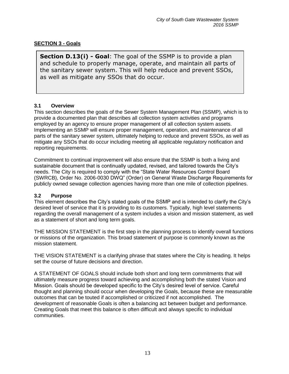## <span id="page-12-0"></span>**SECTION 3 - Goals**

**Section D.13(i) - Goal**: The goal of the SSMP is to provide a plan and schedule to properly manage, operate, and maintain all parts of the sanitary sewer system. This will help reduce and prevent SSOs, as well as mitigate any SSOs that do occur.

## **3.1 Overview**

This section describes the goals of the Sewer System Management Plan (SSMP), which is to provide a documented plan that describes all collection system activities and programs employed by an agency to ensure proper management of all collection system assets. Implementing an SSMP will ensure proper management, operation, and maintenance of all parts of the sanitary sewer system, ultimately helping to reduce and prevent SSOs, as well as mitigate any SSOs that do occur including meeting all applicable regulatory notification and reporting requirements.

Commitment to continual improvement will also ensure that the SSMP is both a living and sustainable document that is continually updated, revised, and tailored towards the City's needs. The City is required to comply with the "State Water Resources Control Board (SWRCB), Order No. 2006-0030 DWQ" (Order) on General Waste Discharge Requirements for publicly owned sewage collection agencies having more than one mile of collection pipelines.

#### **3.2 Purpose**

This element describes the City's stated goals of the SSMP and is intended to clarify the City's desired level of service that it is providing to its customers. Typically, high level statements regarding the overall management of a system includes a vision and mission statement, as well as a statement of short and long term goals.

THE MISSION STATEMENT is the first step in the planning process to identify overall functions or missions of the organization. This broad statement of purpose is commonly known as the mission statement.

THE VISION STATEMENT is a clarifying phrase that states where the City is heading. It helps set the course of future decisions and direction.

A STATEMENT OF GOALS should include both short and long term commitments that will ultimately measure progress toward achieving and accomplishing both the stated Vision and Mission. Goals should be developed specific to the City's desired level of service. Careful thought and planning should occur when developing the Goals, because these are measurable outcomes that can be touted if accomplished or criticized if not accomplished. The development of reasonable Goals is often a balancing act between budget and performance. Creating Goals that meet this balance is often difficult and always specific to individual communities.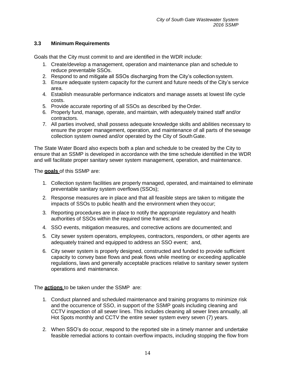## **3.3 Minimum Requirements**

Goals that the City must commit to and are identified in the WDR include:

- 1. Create/develop a management, operation and maintenance plan and schedule to reduce preventable SSOs.
- 2. Respond to and mitigate all SSOs discharging from the City's collectionsystem.
- 3. Ensure adequate system capacity for the current and future needs of the City's service area.
- 4. Establish measurable performance indicators and manage assets at lowest life cycle costs.
- 5. Provide accurate reporting of all SSOs as described by theOrder.
- 6. Properly fund, manage, operate, and maintain, with adequately trained staff and/or contractors.
- 7. All parties involved, shall possess adequate knowledge skills and abilities necessary to ensure the proper management, operation, and maintenance of all parts of thesewage collection system owned and/or operated by the City of SouthGate.

The State Water Board also expects both a plan and schedule to be created by the City to ensure that an SSMP is developed in accordance with the time schedule identified in the WDR and will facilitate proper sanitary sewer system management, operation, and maintenance.

The **goals** of this SSMP are:

- 1. Collection system facilities are properly managed, operated, and maintained to eliminate preventable sanitary system overflows (SSOs);
- 2. Response measures are in place and that all feasible steps are taken to mitigate the impacts of SSOs to public health and the environment when they occur;
- 3. Reporting procedures are in place to notify the appropriate regulatory and health authorities of SSOs within the required time frames; and
- 4. SSO events, mitigation measures, and corrective actions are documented; and
- 5. City sewer system operators, employees, contractors, responders, or other agents are adequately trained and equipped to address an SSO event; and,
- 6. City sewer system is properly designed, constructed and funded to provide sufficient capacity to convey base flows and peak flows while meeting or exceeding applicable regulations, laws and generally acceptable practices relative to sanitary sewer system operations and maintenance.

The **actions** to be taken under the SSMP are:

- 1. Conduct planned and scheduled maintenance and training programs to minimize risk and the occurrence of SSO, in support of the SSMP goals including cleaning and CCTV inspection of all sewer lines. This includes cleaning all sewer lines annually, all Hot Spots monthly and CCTV the entire sewer system every seven (7) years.
- 2. When SSO's do occur, respond to the reported site in a timely manner and undertake feasible remedial actions to contain overflow impacts, including stopping the flow from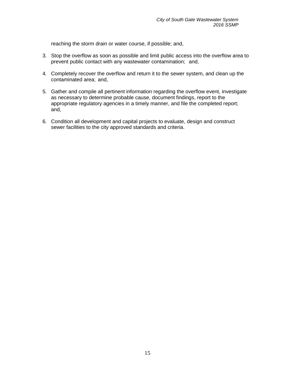reaching the storm drain or water course, if possible; and,

- 3. Stop the overflow as soon as possible and limit public access into the overflow area to prevent public contact with any wastewater contamination; and,
- 4. Completely recover the overflow and return it to the sewer system, and clean up the contaminated area; and,
- 5. Gather and compile all pertinent information regarding the overflow event, investigate as necessary to determine probable cause, document findings, report to the appropriate regulatory agencies in a timely manner, and file the completed report; and,
- 6. Condition all development and capital projects to evaluate, design and construct sewer facilities to the city approved standards and criteria.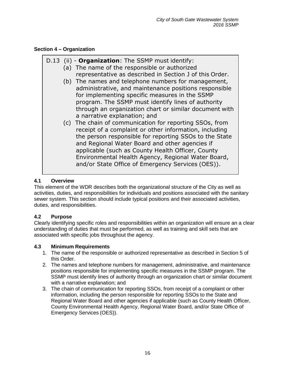#### <span id="page-15-0"></span>**Section 4 – Organization**

# D.13 (ii) - **Organization**: The SSMP must identify: (a) The name of the responsible or authorized representative as described in Section J of this Order. (b) The names and telephone numbers for management, administrative, and maintenance positions responsible for implementing specific measures in the SSMP program. The SSMP must identify lines of authority through an organization chart or similar document with a narrative explanation; and (c) The chain of communication for reporting SSOs, from receipt of a complaint or other information, including the person responsible for reporting SSOs to the State and Regional Water Board and other agencies if applicable (such as County Health Officer, County Environmental Health Agency, Regional Water Board, and/or State Office of Emergency Services (OES)).

# **4.1 Overview**

This element of the WDR describes both the organizational structure of the City as well as activities, duties, and responsibilities for individuals and positions associated with the sanitary sewer system. This section should include typical positions and their associated activities, duties, and responsibilities.

# **4.2 Purpose**

Clearly identifying specific roles and responsibilities within an organization will ensure an a clear understanding of duties that must be performed, as well as training and skill sets that are associated with specific jobs throughout the agency.

# **4.3 Minimum Requirements**

- 1. The name of the responsible or authorized representative as described in Section 5 of this Order.
- 2. The names and telephone numbers for management, administrative, and maintenance positions responsible for implementing specific measures in the SSMP program. The SSMP must identify lines of authority through an organization chart or similar document with a narrative explanation; and
- 3. The chain of communication for reporting SSOs, from receipt of a complaint or other information, including the person responsible for reporting SSOs to the State and Regional Water Board and other agencies if applicable (such as County Health Officer, County Environmental Health Agency, Regional Water Board, and/or State Office of Emergency Services (OES)).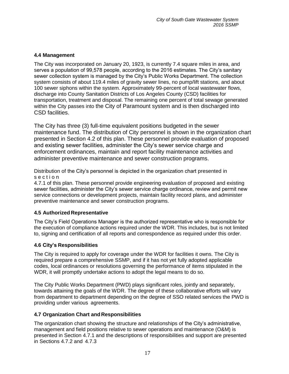## **4.4 Management**

The City was incorporated on January 20, 1923, is currently 7.4 square miles in area, and serves a population of 99,578 people, according to the 2016 estimates. The City's sanitary sewer collection system is managed by the City's Public Works Department. The collection system consists of about 119.4 miles of gravity sewer lines, no pump/lift stations, and about 100 sewer siphons within the system. Approximately 99-percent of local wastewater flows, discharge into County Sanitation Districts of Los Angeles County (CSD) facilities for transportation, treatment and disposal. The remaining one percent of total sewage generated within the City passes into the City of Paramount system and is then discharged into CSD facilities.

The City has three (3) full-time equivalent positions budgeted in the sewer maintenance fund. The distribution of City personnel is shown in the organization chart presented in Section 4.2 of this plan. These personnel provide evaluation of proposed and existing sewer facilities, administer the City's sewer service charge and enforcement ordinances, maintain and report facility maintenance activities and administer preventive maintenance and sewer construction programs.

Distribution of the City's personnel is depicted in the organization chart presented in s e c t i o n

4.7.1 of this plan. These personnel provide engineering evaluation of proposed and existing sewer facilities, administer the City's sewer service charge ordinance, review and permit new service connections or development projects, maintain facility record plans, and administer preventive maintenance and sewer construction programs.

# **4.5 Authorized Representative**

The City's Field Operations Manager is the authorized representative who is responsible for the execution of compliance actions required under the WDR. This includes, but is not limited to, signing and certification of all reports and correspondence as required under this order.

#### **4.6 City's Responsibilities**

The City is required to apply for coverage under the WDR for facilities it owns. The City is required prepare a comprehensive SSMP, and if it has not yet fully adopted applicable codes, local ordinances or resolutions governing the performance of items stipulated in the WDR, it will promptly undertake actions to adopt the legal means to do so.

The City Public Works Department (PWD) plays significant roles, jointly and separately, towards attaining the goals of the WDR. The degree of these collaborative efforts will vary from department to department depending on the degree of SSO related services the PWD is providing under various agreements.

#### **4.7 Organization Chart and Responsibilities**

The organization chart showing the structure and relationships of the City's administrative, management and field positions relative to sewer operations and maintenance (O&M) is presented in Section 4.7.1 and the descriptions of responsibilities and support are presented in Sections 4.7.2 and 4.7.3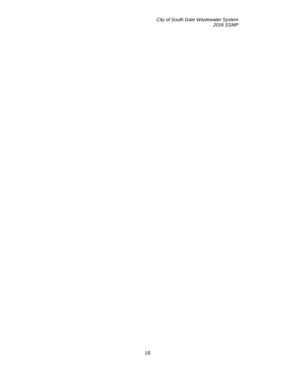*City of South Gate Wastewater System 2016 SSMP*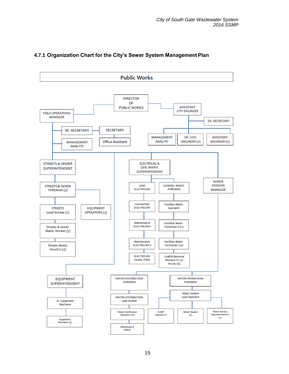

#### **4.7.1 Organization Chart for the City's Sewer System ManagementPlan**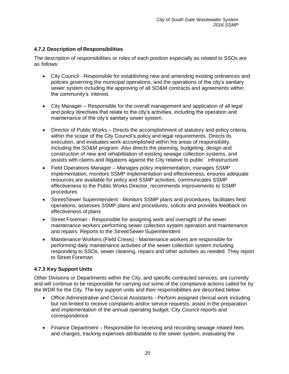# **4.7.2 Description of Responsibilities**

The description of responsibilities or roles of each position especially as related to SSOs are as follows:

- City Council Responsible for establishing new and amending existing ordinances and policies governing the municipal operations, and the operations of the city's sanitary sewer system including the approving of all SO&M contracts and agreements within the community's interest.
- City Manager Responsible for the overall management and application of all legal and policy directives that relate to the city's activities, including the operation and maintenance of the city's sanitary sewer system.
- Director of Public Works Directs the accomplishment of statutory and policy criteria, within the scope of the City Council's policy and legal requirements. Directs its execution, and evaluates work accomplished within his areas of responsibility, including the SO&M program. Also directs the planning, budgeting, design and construction of new and rehabilitation of existing sewage collection systems, and assists with claims and litigations against the City relative to public infrastructure.
- Field Operations Manager Manages policy implementation, manages SSMP implementation, monitors SSMP implementation and effectiveness, ensures adequate resources are available for policy and SSMP activities, communicates SSMP effectiveness to the Public Works Director, recommends improvements to SSMP procedures
- Street/Sewer Superintendent Monitors SSMP plans and procedures, facilitates field operations, assesses SSMP plans and procedures, solicits and provides feedback on effectiveness of plans
- Street Foreman Responsible for assigning work and oversight of the sewer maintenance workers performing sewer collection system operation and maintenance and repairs. Reports to the Street/Sewer Superintendent
- Maintenance Workers (Field Crews) Maintenance workers are responsible for performing daily maintenance activities of the sewer collection system including responding to SSOs, sewer cleaning, repairs and other activities as needed. They report to Street Foreman

# **4.7.3 Key Support Units**

Other Divisions or Departments within the City, and specific contracted services, are currently and will continue to be responsible for carrying out some of the compliance actions called for by the WDR for the City. The key support units and their responsibilities are described below:

- Office Administrative and Clerical Assistants Perform assigned clerical work including but not limited to receive complaints and/or service requests, assist in the preparation and implementation of the annual operating budget, City Council reports and correspondence
- Finance Department Responsible for receiving and recording sewage related fees and charges, tracking expenses attributable to the sewer system, evaluating the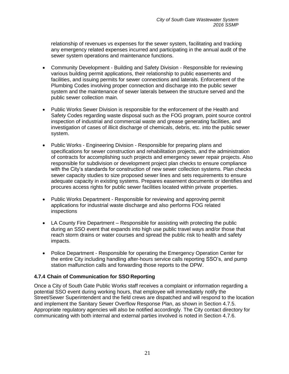relationship of revenues vs expenses for the sewer system, facilitating and tracking any emergency related expenses incurred and participating in the annual audit of the sewer system operations and maintenance functions.

- Community Development Building and Safety Division Responsible for reviewing various building permit applications, their relationship to public easements and facilities, and issuing permits for sewer connections and laterals. Enforcement of the Plumbing Codes involving proper connection and discharge into the public sewer system and the maintenance of sewer laterals between the structure served and the public sewer collection main.
- Public Works Sewer Division is responsible for the enforcement of the Health and Safety Codes regarding waste disposal such as the FOG program, point source control inspection of industrial and commercial waste and grease generating facilities, and investigation of cases of illicit discharge of chemicals, debris, etc. into the public sewer system.
- Public Works Engineering Division Responsible for preparing plans and specifications for sewer construction and rehabilitation projects, and the administration of contracts for accomplishing such projects and emergency sewer repair projects. Also responsible for subdivision or development project plan checks to ensure compliance with the City's standards for construction of new sewer collection systems. Plan checks sewer capacity studies to size proposed sewer lines and sets requirements to ensure adequate capacity in existing systems. Prepares easement documents or identifies and procures access rights for public sewer facilities located within private properties.
- Public Works Department Responsible for reviewing and approving permit applications for industrial waste discharge and also performs FOG related inspections
- LA County Fire Department Responsible for assisting with protecting the public during an SSO event that expands into high use public travel ways and/or those that reach storm drains or water courses and spread the public risk to health and safety impacts.
- Police Department Responsible for operating the Emergency Operation Center for the entire City including handling after-hours service calls reporting SSO's, and pump station malfunction calls and forwarding those reports to the DPW.

#### **4.7.4 Chain of Communication for SSO Reporting**

Once a City of South Gate Public Works staff receives a complaint or information regarding a potential SSO event during working hours, that employee will immediately notify the Street/Sewer Superintendent and the field crews are dispatched and will respond to the location and implement the Sanitary Sewer Overflow Response Plan, as shown in Section 4.7.5. Appropriate regulatory agencies will also be notified accordingly. The City contact directory for communicating with both internal and external parties involved is noted in Section 4.7.6.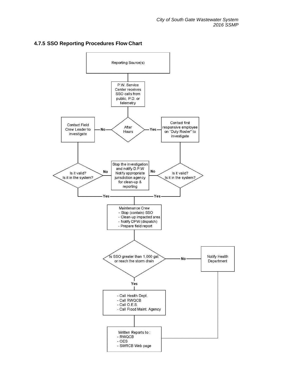

#### **4.7.5 SSO Reporting Procedures Flow Chart**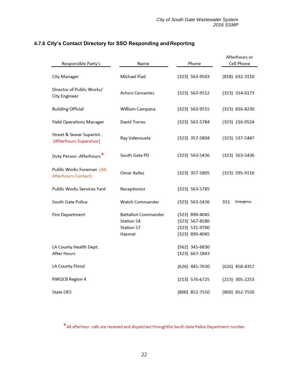| Responsible Party's                                 | Name                                                                    | Phone                                                                | Afterhours or<br><b>Cell Phone</b> |
|-----------------------------------------------------|-------------------------------------------------------------------------|----------------------------------------------------------------------|------------------------------------|
| <b>City Manager</b>                                 | Michael Flad                                                            | $(323) 563 - 9503$                                                   | $(818)$ 632-3110                   |
| Director of Public Works/<br><b>City Engineer</b>   | <b>Arturo Cervantes</b>                                                 | (323) 563-9512                                                       | (323) 314-6173                     |
| <b>Building Official</b>                            | William Campana                                                         | (323) 563-9515                                                       | (323) 816-8230                     |
| <b>Field Operations Manager</b>                     | <b>David Torres</b>                                                     | (323) 563-5784                                                       | (323) 216-9524                     |
| Street & Sewer Superint.<br>(Afterhours Supervisor) | Ray Valenzuela                                                          | (323) 357-5804                                                       | (323) 537-5447                     |
| Duty Person - Afterhours*                           | South Gate PD                                                           | (323) 563-5436                                                       | (323) 563-5436                     |
| Public Works Foreman (Alt.<br>Afterhours Contact)   | <b>Omar Aviles</b>                                                      | (323) 357-5805                                                       | (323) 595-9116                     |
| Public Works Services Yard                          | Receptionist                                                            | (323) 563-5785                                                       |                                    |
| South Gate Police                                   | Watch Commander                                                         | (323) 563-5436                                                       | 911<br>Emergency                   |
| <b>Fire Department</b>                              | <b>Battalion Commander</b><br>Station 54<br>Station 57<br><b>Hazmat</b> | (323) 890-4045<br>(323) 567-8580<br>(323) 531-9700<br>(323) 890-4045 |                                    |
| LA County Health Dept.<br><b>After Hours</b>        |                                                                         | (562) 345-6830<br>(323) 667-1843                                     |                                    |
| LA County Flood                                     |                                                                         | (626) 445-7630                                                       | $(626)$ 458-4357                   |
| <b>RWQCB Region 4</b>                               |                                                                         | $(213) 576-6725$                                                     | $(213)$ 305-2253                   |
| State OES                                           |                                                                         | (800) 852-7550                                                       | (800) 852-7550                     |

# **4.7.6 City's Contact Directory for SSO Responding and Reporting**

\* All afterhour calls are received and dispatched throughthe South Gate Police Department number.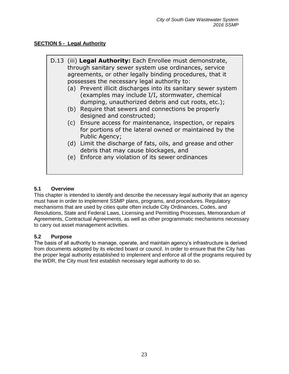## <span id="page-23-0"></span>**SECTION 5 - Legal Authority**

|  | D.13 (iii) Legal Authority: Each Enrollee must demonstrate,<br>through sanitary sewer system use ordinances, service<br>agreements, or other legally binding procedures, that it<br>possesses the necessary legal authority to:<br>(a) Prevent illicit discharges into its sanitary sewer system<br>(examples may include I/I, stormwater, chemical<br>dumping, unauthorized debris and cut roots, etc.); |
|--|-----------------------------------------------------------------------------------------------------------------------------------------------------------------------------------------------------------------------------------------------------------------------------------------------------------------------------------------------------------------------------------------------------------|
|  | (b) Require that sewers and connections be properly<br>designed and constructed;                                                                                                                                                                                                                                                                                                                          |
|  | (c) Ensure access for maintenance, inspection, or repairs<br>for portions of the lateral owned or maintained by the<br>Public Agency;                                                                                                                                                                                                                                                                     |
|  | (d) Limit the discharge of fats, oils, and grease and other<br>debris that may cause blockages, and                                                                                                                                                                                                                                                                                                       |
|  | (e) Enforce any violation of its sewer ordinances                                                                                                                                                                                                                                                                                                                                                         |

# **5.1 Overview**

This chapter is intended to identify and describe the necessary legal authority that an agency must have in order to implement SSMP plans, programs, and procedures. Regulatory mechanisms that are used by cities quite often include City Ordinances, Codes, and Resolutions, State and Federal Laws, Licensing and Permitting Processes, Memorandum of Agreements, Contractual Agreements, as well as other programmatic mechanisms necessary to carry out asset management activities.

#### **5.2 Purpose**

The basis of all authority to manage, operate, and maintain agency's infrastructure is derived from documents adopted by its elected board or council. In order to ensure that the City has the proper legal authority established to implement and enforce all of the programs required by the WDR, the City must first establish necessary legal authority to do so.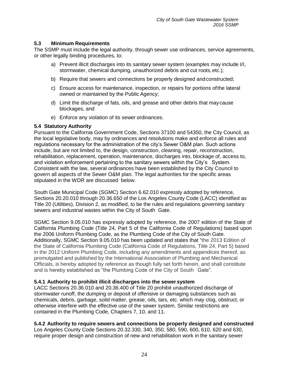#### **5.3 Minimum Requirements**

The SSMP must include the legal authority, through sewer use ordinances, service agreements, or other legally binding procedures, to:

- a) Prevent illicit discharges into its sanitary sewer system (examples may include I/I, stormwater, chemical dumping, unauthorized debris and cut roots,etc.);
- b) Require that sewers and connections be properly designed andconstructed;
- c) Ensure access for maintenance, inspection, or repairs for portions ofthe lateral owned or maintained by the Public Agency;
- d) Limit the discharge of fats, oils, and grease and other debris that maycause blockages, and
- e) Enforce any violation of its sewer ordinances.

#### **5.4 Statutory Authority**

Pursuant to the California Government Code, Sections 37100 and 54350, the City Council, as the local legislative body, may by ordinances and resolutions make and enforce all rules and regulations necessary for the administration of the city's Sewer O&M plan. Such actions include, but are not limited to, the design, construction, cleaning, repair, reconstruction, rehabilitation, replacement, operation, maintenance, discharges into, blockage of, access to, and violation enforcement pertaining to the sanitary sewers within the City's System. Consistent with the law, several ordinances have been established by the City Council to govern all aspects of the Sewer O&M plan. The legal authorities for the specific areas stipulated in the WDR are discussed below.

South Gate Municipal Code (SGMC) Section 6.62.010 expressly adopted by reference, Sections 20.20.010 through 20.36.650 of the Los Angeles County Code (LACC) identified as Title 20 (Utilities), Division 2, as modified, to be the rules and regulations governing sanitary sewers and industrial wastes within the City of South Gate.

SGMC Section 9.05.010 has expressly adopted by reference, the 2007 edition of the State of California Plumbing Code (Title 24, Part 5 of the California Code of Regulations) based upon the 2006 Uniform Plumbing Code, as the Plumbing Code of the City of South Gate. Additionally, SGMC Section 9.05.010 has been updated and states that "the 2013 Edition of the State of California Plumbing Code (California Code of Regulations, Title 24, Part 5) based in the 2012 Uniform Plumbing Code, including any amendments and appendices thereof, as promulgated and published by the International Association of Plumbing and Mechanical Officials, is hereby adopted by reference as though fully set forth herein, and shall constitute and is hereby established as "the Plumbing Code of the City of South Gate".

#### **5.4.1 Authority to prohibit illicit discharges into the sewer system**

LACC Sections 20.36.010 and 20.36.400 of Title 20 prohibit unauthorized discharge of stormwater runoff, the dumping or deposit of offensive or damaging substances such as chemicals, debris, garbage, solid matter, grease, oils, tars, etc. which may clog, obstruct, or otherwise interfere with the effective use of the sewer system. Similar restrictions are contained in the Plumbing Code, Chapters 7, 10, and 11.

#### **5.4.2 Authority to require sewers and connections be properly designed and constructed**

Los Angeles County Code Sections 20.32.330, 340, 350, 580, 590, 600, 610, 620 and 630, require proper design and construction of new and rehabilitation work in the sanitary sewer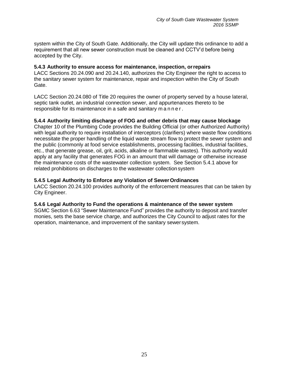system within the City of South Gate. Additionally, the City will update this ordinance to add a requirement that all new sewer construction must be cleaned and CCTV'd before being accepted by the City.

#### **5.4.3 Authority to ensure access for maintenance, inspection, orrepairs**

LACC Sections 20.24.090 and 20.24.140, authorizes the City Engineer the right to access to the sanitary sewer system for maintenance, repair and inspection within the City of South Gate.

LACC Section 20.24.080 of Title 20 requires the owner of property served by a house lateral, septic tank outlet, an industrial connection sewer, and appurtenances thereto to be responsible for its maintenance in a safe and sanitary m a n n e r .

#### **5.4.4 Authority limiting discharge of FOG and other debris that may cause blockage**

Chapter 10 of the Plumbing Code provides the Building Official (or other Authorized Authority) with legal authority to require installation of interceptors (clarifiers) where waste flow conditions necessitate the proper handling of the liquid waste stream flow to protect the sewer system and the public (commonly at food service establishments, processing facilities, industrial facilities, etc., that generate grease, oil, grit, acids, alkaline or flammable wastes). This authority would apply at any facility that generates FOG in an amount that will damage or otherwise increase the maintenance costs of the wastewater collection system. See Section 5.4.1 above for related prohibitions on discharges to the wastewater collection system

#### **5.4.5 Legal Authority to Enforce any Violation of SewerOrdinances**

LACC Section 20.24.100 provides authority of the enforcement measures that can be taken by City Engineer.

#### **5.4.6 Legal Authority to Fund the operations & maintenance of the sewer system**

SGMC Section 6.63 "Sewer Maintenance Fund" provides the authority to deposit and transfer monies, sets the base service charge, and authorizes the City Council to adjust rates for the operation, maintenance, and improvement of the sanitary sewersystem.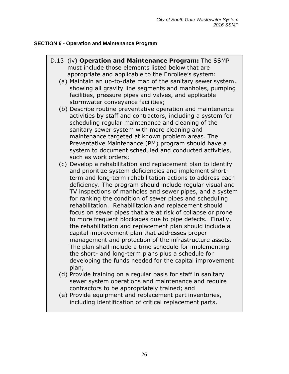# <span id="page-26-0"></span>**SECTION 6 - Operation and Maintenance Program**

- D.13 (iv) **Operation and Maintenance Program:** The SSMP must include those elements listed below that are appropriate and applicable to the Enrollee's system:
	- (a) Maintain an up-to-date map of the sanitary sewer system, showing all gravity line segments and manholes, pumping facilities, pressure pipes and valves, and applicable stormwater conveyance facilities;
	- (b) Describe routine preventative operation and maintenance activities by staff and contractors, including a system for scheduling regular maintenance and cleaning of the sanitary sewer system with more cleaning and maintenance targeted at known problem areas. The Preventative Maintenance (PM) program should have a system to document scheduled and conducted activities, such as work orders;
	- (c) Develop a rehabilitation and replacement plan to identify and prioritize system deficiencies and implement shortterm and long-term rehabilitation actions to address each deficiency. The program should include regular visual and TV inspections of manholes and sewer pipes, and a system for ranking the condition of sewer pipes and scheduling rehabilitation. Rehabilitation and replacement should focus on sewer pipes that are at risk of collapse or prone to more frequent blockages due to pipe defects. Finally, the rehabilitation and replacement plan should include a capital improvement plan that addresses proper management and protection of the infrastructure assets. The plan shall include a time schedule for implementing the short- and long-term plans plus a schedule for developing the funds needed for the capital improvement plan;
	- (d) Provide training on a regular basis for staff in sanitary sewer system operations and maintenance and require contractors to be appropriately trained; and
	- (e) Provide equipment and replacement part inventories, including identification of critical replacement parts.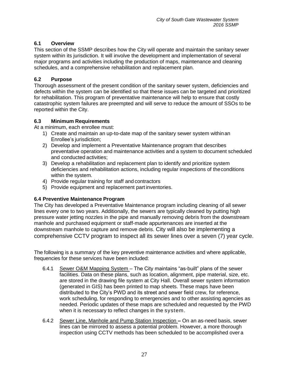# **6.1 Overview**

This section of the SSMP describes how the City will operate and maintain the sanitary sewer system within its jurisdiction. It will involve the development and implementation of several major programs and activities including the production of maps, maintenance and cleaning schedules, and a comprehensive rehabilitation and replacement plan.

# **6.2 Purpose**

Thorough assessment of the present condition of the sanitary sewer system, deficiencies and defects within the system can be identified so that these issues can be targeted and prioritized for rehabilitation. This program of preventative maintenance will help to ensure that costly catastrophic system failures are preempted and will serve to reduce the amount of SSOs to be reported within the City.

# **6.3 Minimum Requirements**

At a minimum, each enrollee must:

- 1) Create and maintain an up-to-date map of the sanitary sewer system withinan Enrollee's jurisdiction;
- 2) Develop and implement a Preventative Maintenance program that describes preventative operation and maintenance activities and a system to document scheduled and conducted activities;
- 3) Develop a rehabilitation and replacement plan to identify and prioritize system deficiencies and rehabilitation actions, including regular inspections of theconditions within the system.
- 4) Provide regular training for staff and contractors
- 5) Provide equipment and replacement part inventories.

# **6.4 Preventive Maintenance Program**

The City has developed a Preventative Maintenance program including cleaning of all sewer lines every one to two years. Additionally, the sewers are typically cleaned by putting high pressure water jetting nozzles in the pipe and manually removing debris from the downstream manhole and purchased equipment or staff-made appurtenances are inserted at the downstream manhole to capture and remove debris. City will also be implementing a comprehensive CCTV program to inspect all its sewer lines over a seven (7) year cycle.

The following is a summary of the key preventive maintenance activities and where applicable, frequencies for these services have been included:

- 6.4.1 Sewer O&M Mapping System The City maintains "as-built" plans of the sewer facilities. Data on these plans, such as location, alignment, pipe material, size, etc. are stored in the drawing file system at City Hall. Overall sewer system information (generated in GIS) has been printed to map sheets. These maps have been distributed to the City's PWD and its street and sewer field crew, for reference, work scheduling, for responding to emergencies and to other assisting agencies as needed. Periodic updates of these maps are scheduled and requested by the PWD when it is necessary to reflect changes in the system.
- 6.4.2 Sewer Line, Manhole and Pump Station Inspection **–** On an as-need basis, sewer lines can be mirrored to assess a potential problem. However, a more thorough inspection using CCTV methods has been scheduled to be accomplished over a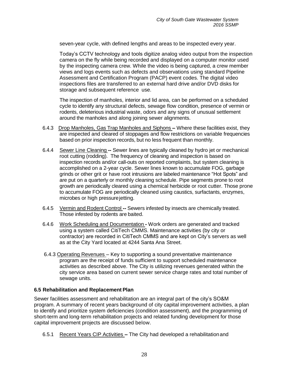seven-year cycle, with defined lengths and areas to be inspected every year.

Today's CCTV technology and tools digitize analog video output from the inspection camera on the fly while being recorded and displayed on a computer monitor used by the inspecting camera crew. While the video is being captured, a crew member views and logs events such as defects and observations using standard Pipeline Assessment and Certification Program (PACP) event codes. The digital video inspections files are transferred to an external hard drive and/or DVD disks for storage and subsequent reference use.

The inspection of manholes, interior and lid area, can be performed on a scheduled cycle to identify any structural defects, sewage flow condition, presence of vermin or rodents, deleterious industrial waste, odors and any signs of unusual settlement around the manholes and along joining sewer alignments.

- 6.4.3 Drop Manholes, Gas Trap Manholes and Siphons **–** Where these facilities exist, they are inspected and cleared of stoppages and flow restrictions on variable frequencies based on prior inspection records, but no less frequent than monthly.
- 6.4.4 Sewer Line Cleaning **--** Sewer lines are typically cleaned by hydro jet or mechanical root cutting (rodding). The frequency of cleaning and inspection is based on inspection records and/or call-outs on reported complaints, but system cleaning is accomplished on a 2-year cycle. Sewer lines known to accumulate FOG, garbage grinds or other grit or have root intrusions are labeled maintenance "Hot Spots" and are put on a quarterly or monthly cleaning schedule. Pipe segments prone to root growth are periodically cleared using a chemical herbicide or root cutter. Those prone to accumulate FOG are periodically cleaned using caustics, surfactants, enzymes, microbes or high pressure jetting.
- 6.4.5 Vermin and Rodent Control **--** Sewers infested by insects are chemically treated. Those infested by rodents are baited.
- 6.4.6 Work Scheduling and Documentation **-** Work orders are generated and tracked using a system called CitiTech CMMS. Maintenance activities (by city or contractor) are recorded in CitiTech CMMS and are kept on City's servers as well as at the City Yard located at 4244 Santa Ana Street.
- 6.4.3 Operating Revenues Key to supporting a sound preventative maintenance program are the receipt of funds sufficient to support scheduled maintenance activities as described above. The City is utilizing revenues generated within the city service area based on current sewer service charge rates and total number of sewage units.

#### **6.5 Rehabilitation and Replacement Plan**

Sewer facilities assessment and rehabilitation are an integral part of the city's SO&M program. A summary of recent years background of city capital improvement activities, a plan to identify and prioritize system deficiencies (condition assessment), and the programming of short-term and long-term rehabilitation projects and related funding development for those capital improvement projects are discussed below.

6.5.1 Recent Years CIP Activities **–** The City had developed a rehabilitationand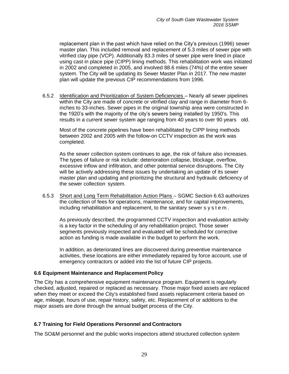replacement plan in the past which have relied on the City's previous (1996) sewer master plan. This included removal and replacement of 5.3 miles of sewer pipe with vitrified clay pipe (VCP). Additionally 83.3 miles of sewer pipe were lined in place using cast in place pipe (CIPP) lining methods. This rehabilitation work was initiated in 2002 and completed in 2005, and involved 88.6 miles (74%) of the entire sewer system. The City will be updating its Sewer Master Plan in 2017. The new master plan will update the previous CIP recommendations from 1996.

6.5.2 Identification and Prioritization of System Deficiencies – Nearly all sewer pipelines within the City are made of concrete or vitrified clay and range in diameter from 6 inches to 33-inches. Sewer pipes in the original township area were constructed in the 1920's with the majority of the city's sewers being installed by 1950's. This results in a current sewer system age ranging from 40 years to over 90 years old.

Most of the concrete pipelines have been rehabilitated by CIPP lining methods between 2002 and 2005 with the follow-on CCTV inspection as the work was completed.

As the sewer collection system continues to age, the risk of failure also increases. The types of failure or risk include: deterioration collapse, blockage, overflow, excessive inflow and infiltration, and other potential service disruptions. The City will be actively addressing these issues by undertaking an update of its sewer master plan and updating and prioritizing the structural and hydraulic deficiency of the sewer collection system.

6.5.3 Short and Long Term Rehabilitation Action Plans – SGMC Section 6.63 authorizes the collection of fees for operations, maintenance, and for capital improvements, including rehabilitation and replacement, to the sanitary sewer s y s t e m .

As previously described, the programmed CCTV inspection and evaluation activity is a key factor in the scheduling of any rehabilitation project. Those sewer segments previously inspected and evaluated will be scheduled for corrective action as funding is made available in the budget to perform the work.

In addition, as deteriorated lines are discovered during preventive maintenance activities, these locations are either immediately repaired by force account, use of emergency contractors or added into the list of future CIP projects.

#### **6.6 Equipment Maintenance and Replacement Policy**

The City has a comprehensive equipment maintenance program. Equipment is regularly checked, adjusted, repaired or replaced as necessary. Those major fixed assets are replaced when they meet or exceed the City's established fixed assets replacement criteria based on age, mileage, hours of use, repair history, safety, etc. Replacement of or additions to the major assets are done through the annual budget process of the City.

#### **6.7 Training for Field Operations Personnel and Contractors**

The SO&M personnel and the public works inspectors attend structured collection system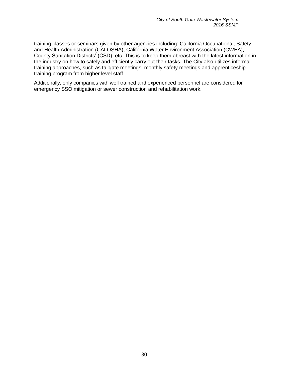training classes or seminars given by other agencies including: California Occupational, Safety and Health Administration (CALOSHA), California Water Environment Association (CWEA), County Sanitation Districts' (CSD), etc. This is to keep them abreast with the latest information in the industry on how to safely and efficiently carry out their tasks. The City also utilizes informal training approaches, such as tailgate meetings, monthly safety meetings and apprenticeship training program from higher level staff

Additionally, only companies with well trained and experienced personnel are considered for emergency SSO mitigation or sewer construction and rehabilitation work.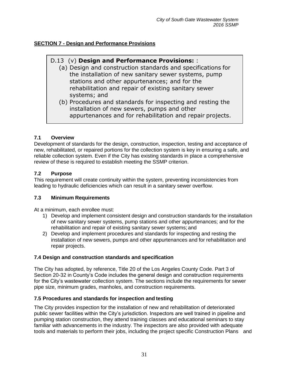# <span id="page-31-0"></span>**SECTION 7 - Design and Performance Provisions**

# D.13 (v) **Design and Performance Provisions:** :

- (a) Design and construction standards and specifications for the installation of new sanitary sewer systems, pump stations and other appurtenances; and for the rehabilitation and repair of existing sanitary sewer systems; and
- (b) Procedures and standards for inspecting and resting the installation of new sewers, pumps and other appurtenances and for rehabilitation and repair projects.

# **7.1 Overview**

Development of standards for the design, construction, inspection, testing and acceptance of new, rehabilitated, or repaired portions for the collection system is key in ensuring a safe, and reliable collection system. Even if the City has existing standards in place a comprehensive review of these is required to establish meeting the SSMP criterion.

# **7.2 Purpose**

This requirement will create continuity within the system, preventing inconsistencies from leading to hydraulic deficiencies which can result in a sanitary sewer overflow.

# **7.3 Minimum Requirements**

At a minimum, each enrollee must:

- 1) Develop and implement consistent design and construction standards for the installation of new sanitary sewer systems, pump stations and other appurtenances; and for the rehabilitation and repair of existing sanitary sewer systems; and
- 2) Develop and implement procedures and standards for inspecting and resting the installation of new sewers, pumps and other appurtenances and for rehabilitation and repair projects.

# **7.4 Design and construction standards and specification**

The City has adopted, by reference, Title 20 of the Los Angeles County Code. Part 3 of Section 20-32 in County's Code includes the general design and construction requirements for the City's wastewater collection system. The sections include the requirements for sewer pipe size, minimum grades, manholes, and construction requirements.

# **7.5 Procedures and standards for inspection and testing**

The City provides inspection for the installation of new and rehabilitation of deteriorated public sewer facilities within the City's jurisdiction. Inspectors are well trained in pipeline and pumping station construction, they attend training classes and educational seminars to stay familiar with advancements in the industry. The inspectors are also provided with adequate tools and materials to perform their jobs, including the project specific Construction Plans and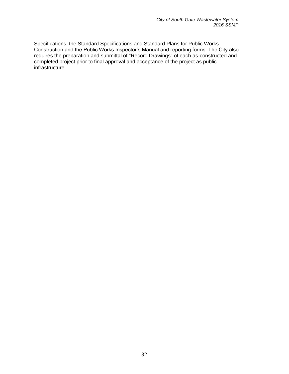Specifications, the Standard Specifications and Standard Plans for Public Works Construction and the Public Works Inspector's Manual and reporting forms. The City also requires the preparation and submittal of "Record Drawings" of each as-constructed and completed project prior to final approval and acceptance of the project as public infrastructure.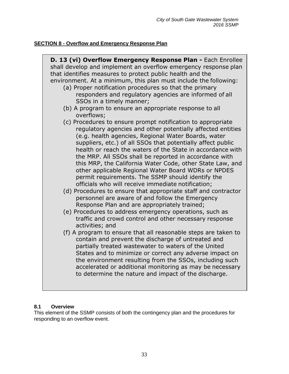# <span id="page-33-0"></span>**SECTION 8 - Overflow and Emergency Response Plan**

| D. 13 (vi) Overflow Emergency Response Plan - Each Enrollee<br>shall develop and implement an overflow emergency response plan<br>that identifies measures to protect public health and the<br>environment. At a minimum, this plan must include the following:<br>(a) Proper notification procedures so that the primary                                                                                                                                                                                                                                                                                                                                                                                                                                                                                                                                                                                                                                                                                                                                                                                                                                                                                                                                                              |
|----------------------------------------------------------------------------------------------------------------------------------------------------------------------------------------------------------------------------------------------------------------------------------------------------------------------------------------------------------------------------------------------------------------------------------------------------------------------------------------------------------------------------------------------------------------------------------------------------------------------------------------------------------------------------------------------------------------------------------------------------------------------------------------------------------------------------------------------------------------------------------------------------------------------------------------------------------------------------------------------------------------------------------------------------------------------------------------------------------------------------------------------------------------------------------------------------------------------------------------------------------------------------------------|
| responders and regulatory agencies are informed of all<br>SSOs in a timely manner;                                                                                                                                                                                                                                                                                                                                                                                                                                                                                                                                                                                                                                                                                                                                                                                                                                                                                                                                                                                                                                                                                                                                                                                                     |
| (b) A program to ensure an appropriate response to all<br>overflows;                                                                                                                                                                                                                                                                                                                                                                                                                                                                                                                                                                                                                                                                                                                                                                                                                                                                                                                                                                                                                                                                                                                                                                                                                   |
| (c) Procedures to ensure prompt notification to appropriate<br>regulatory agencies and other potentially affected entities<br>(e.g. health agencies, Regional Water Boards, water<br>suppliers, etc.) of all SSOs that potentially affect public<br>health or reach the waters of the State in accordance with<br>the MRP. All SSOs shall be reported in accordance with<br>this MRP, the California Water Code, other State Law, and<br>other applicable Regional Water Board WDRs or NPDES<br>permit requirements. The SSMP should identify the<br>officials who will receive immediate notification;<br>(d) Procedures to ensure that appropriate staff and contractor<br>personnel are aware of and follow the Emergency<br>Response Plan and are appropriately trained;<br>(e) Procedures to address emergency operations, such as<br>traffic and crowd control and other necessary response<br>activities; and<br>(f) A program to ensure that all reasonable steps are taken to<br>contain and prevent the discharge of untreated and<br>partially treated wastewater to waters of the United<br>States and to minimize or correct any adverse impact on<br>the environment resulting from the SSOs, including such<br>accelerated or additional monitoring as may be necessary |
| to determine the nature and impact of the discharge.                                                                                                                                                                                                                                                                                                                                                                                                                                                                                                                                                                                                                                                                                                                                                                                                                                                                                                                                                                                                                                                                                                                                                                                                                                   |

# **8.1 Overview**

This element of the SSMP consists of both the contingency plan and the procedures for responding to an overflow event.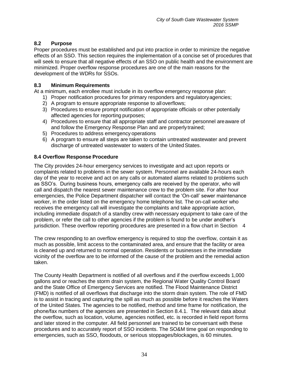# **8.2 Purpose**

Proper procedures must be established and put into practice in order to minimize the negative effects of an SSO. This section requires the implementation of a concise set of procedures that will seek to ensure that all negative effects of an SSO on public health and the environment are minimized. Proper overflow response procedures are one of the main reasons for the development of the WDRs for SSOs.

# **8.3 Minimum Requirements**

At a minimum, each enrollee must include in its overflow emergency response plan:

- 1) Proper notification procedures for primary responders and regulatoryagencies;
- 2) A program to ensure appropriate response to all overflows;
- 3) Procedures to ensure prompt notification of appropriate officials or other potentially affected agencies for reporting purposes;
- 4) Procedures to ensure that all appropriate staff and contractor personnel areaware of and follow the Emergency Response Plan and are properlytrained;
- 5) Procedures to address emergency operations
- 6) A program to ensure all steps are taken to contain untreated wastewater and prevent discharge of untreated wastewater to waters of the United States.

# **8.4 Overflow Response Procedure**

The City provides 24-hour emergency services to investigate and act upon reports or complaints related to problems in the sewer system. Personnel are available 24-hours each day of the year to receive and act on any calls or automated alarms related to problems such as SSO's. During business hours, emergency calls are received by the operator, who will call and dispatch the nearest sewer maintenance crew to the problem site. For after hour emergencies, the Police Department dispatcher will contact the 'On-call' sewer maintenance worker, in the order listed on the emergency home telephone list. The on-call worker who receives the emergency call will investigate the complaints and take appropriate action, including immediate dispatch of a standby crew with necessary equipment to take care of the problem, or refer the call to other agencies if the problem is found to be under another's jurisdiction. These overflow reporting procedures are presented in a flow chart in Section 4

The crew responding to an overflow emergency is required to stop the overflow, contain it as much as possible, limit access to the contaminated area, and ensure that the facility or area is cleaned up and returned to normal operation. Residents or businesses in the immediate vicinity of the overflow are to be informed of the cause of the problem and the remedial action taken.

The County Health Department is notified of all overflows and if the overflow exceeds 1,000 gallons and or reaches the storm drain system, the Regional Water Quality Control Board and the State Office of Emergency Services are notified. The Flood Maintenance District (FMD) is notified of all overflows that discharge into the storm drain system. The role of FMD is to assist in tracing and capturing the spill as much as possible before it reaches the Waters of the United States. The agencies to be notified, method and time frame for notification, the phone/fax numbers of the agencies are presented in Section 8.4.1. The relevant data about the overflow, such as location, volume, agencies notified, etc. is recorded in field report forms and later stored in the computer. All field personnel are trained to be conversant with these procedures and to accurately report of SSO incidents. The SO&M time goal on responding to emergencies, such as SSO, floodouts, or serious stoppages/blockages, is 60 minutes.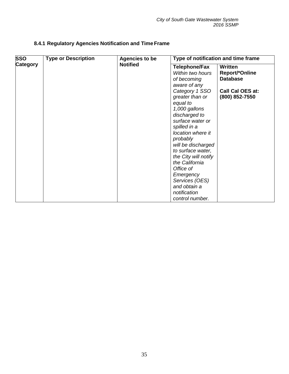| <b>SSO</b>      | <b>Type or Description</b> | <b>Agencies to be</b> | Type of notification and time frame                                                                                                                                                                                                                                                                                                                                                                                 |                                                                                           |
|-----------------|----------------------------|-----------------------|---------------------------------------------------------------------------------------------------------------------------------------------------------------------------------------------------------------------------------------------------------------------------------------------------------------------------------------------------------------------------------------------------------------------|-------------------------------------------------------------------------------------------|
| <b>Category</b> |                            | <b>Notified</b>       | <b>Telephone/Fax</b><br>Within two hours<br>of becoming<br>aware of any<br>Category 1 SSO<br>greater than or<br>equal to<br>1,000 gallons<br>discharged to<br>surface water or<br>spilled in a<br>location where it<br>probably<br>will be discharged<br>to surface water,<br>the City will notify<br>the California<br>Office of<br>Emergency<br>Services (OES)<br>and obtain a<br>notification<br>control number. | Written<br>Report/*Online<br><b>Database</b><br><b>Call Cal OES at:</b><br>(800) 852-7550 |

# **8.4.1 Regulatory Agencies Notification and Time Frame**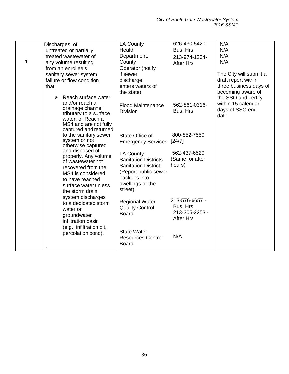|   | Discharges of                       | <b>LA County</b>                       | 626-430-5420-    | N/A                    |
|---|-------------------------------------|----------------------------------------|------------------|------------------------|
|   | untreated or partially              | Health                                 | Bus. Hrs         | N/A                    |
|   | treated wastewater of               | Department,                            | 213-974-1234-    | N/A                    |
| 1 | any volume resulting                | County                                 | <b>After Hrs</b> | N/A                    |
|   | from an enrollee's                  | Operator (notify                       |                  |                        |
|   | sanitary sewer system               | if sewer                               |                  | The City will submit a |
|   | failure or flow condition           | discharge                              |                  | draft report within    |
|   | that:                               | enters waters of                       |                  | three business days of |
|   |                                     | the state)                             |                  | becoming aware of      |
|   | Reach surface water<br>➤            |                                        |                  | the SSO and certify    |
|   | and/or reach a<br>drainage channel  | <b>Flood Maintenance</b>               | 562-861-0316-    | within 15 calendar     |
|   | tributary to a surface              | <b>Division</b>                        | Bus. Hrs         | days of SSO end        |
|   | water; or Reach a                   |                                        |                  | date.                  |
|   | MS4 and are not fully               |                                        |                  |                        |
|   | captured and returned               |                                        |                  |                        |
|   | to the sanitary sewer               | State Office of                        | 800-852-7550     |                        |
|   | system or not<br>otherwise captured | <b>Emergency Services</b>              | $[24/7]$         |                        |
|   | and disposed of                     |                                        |                  |                        |
|   | properly. Any volume                | <b>LA County</b>                       | 562-437-6520     |                        |
|   | of wastewater not                   | <b>Sanitation Districts</b>            | (Same for after  |                        |
|   | recovered from the                  | <b>Sanitation District</b>             | hours)           |                        |
|   | MS4 is considered                   | (Report public sewer                   |                  |                        |
|   | to have reached                     | backups into                           |                  |                        |
|   | surface water unless                | dwellings or the                       |                  |                        |
|   | the storm drain                     | street)                                |                  |                        |
|   | system discharges                   |                                        | 213-576-6657 -   |                        |
|   | to a dedicated storm                | <b>Regional Water</b>                  | Bus. Hrs         |                        |
|   | water or                            | <b>Quality Control</b><br><b>Board</b> | 213-305-2253 -   |                        |
|   | groundwater                         |                                        | <b>After Hrs</b> |                        |
|   | infiltration basin                  |                                        |                  |                        |
|   | (e.g., infiltration pit,            | <b>State Water</b>                     |                  |                        |
|   | percolation pond).                  | <b>Resources Control</b>               | N/A              |                        |
|   |                                     | <b>Board</b>                           |                  |                        |
|   |                                     |                                        |                  |                        |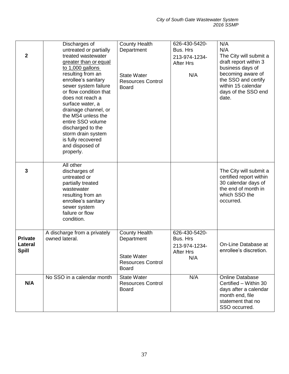| $\mathbf{2}$                                     | Discharges of<br>untreated or partially<br>treated wastewater<br>greater than or equal<br>to 1,000 gallons<br>resulting from an<br>enrollee's sanitary<br>sewer system failure<br>or flow condition that<br>does not reach a<br>surface water, a<br>drainage channel, or<br>the MS4 unless the<br>entire SSO volume<br>discharged to the<br>storm drain system<br>is fully recovered<br>and disposed of<br>properly. | <b>County Health</b><br>Department<br><b>State Water</b><br><b>Resources Control</b><br><b>Board</b> | 626-430-5420-<br>Bus. Hrs<br>213-974-1234-<br><b>After Hrs</b><br>N/A | N/A<br>N/A<br>The City will submit a<br>draft report within 3<br>business days of<br>becoming aware of<br>the SSO and certify<br>within 15 calendar<br>days of the SSO end<br>date. |
|--------------------------------------------------|----------------------------------------------------------------------------------------------------------------------------------------------------------------------------------------------------------------------------------------------------------------------------------------------------------------------------------------------------------------------------------------------------------------------|------------------------------------------------------------------------------------------------------|-----------------------------------------------------------------------|-------------------------------------------------------------------------------------------------------------------------------------------------------------------------------------|
| 3                                                | All other<br>discharges of<br>untreated or<br>partially treated<br>wastewater<br>resulting from an<br>enrollee's sanitary<br>sewer system<br>failure or flow<br>condition.                                                                                                                                                                                                                                           |                                                                                                      |                                                                       | The City will submit a<br>certified report within<br>30 calendar days of<br>the end of month in<br>which SSO the<br>occurred.                                                       |
| <b>Private</b><br><b>Lateral</b><br><b>Spill</b> | A discharge from a privately<br>owned lateral.                                                                                                                                                                                                                                                                                                                                                                       | <b>County Health</b><br>Department<br><b>State Water</b><br><b>Resources Control</b><br><b>Board</b> | 626-430-5420-<br>Bus. Hrs<br>213-974-1234-<br>After Hrs<br>N/A        | On-Line Database at<br>enrollee's discretion                                                                                                                                        |
| N/A                                              | No SSO in a calendar month                                                                                                                                                                                                                                                                                                                                                                                           | <b>State Water</b><br><b>Resources Control</b><br><b>Board</b>                                       | N/A                                                                   | <b>Online Database</b><br>Certified - Within 30<br>days after a calendar<br>month end, file<br>statement that no<br>SSO occurred.                                                   |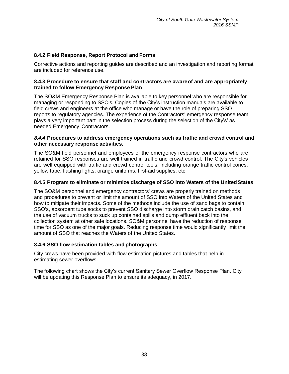#### **8.4.2 Field Response, Report Protocol and Forms**

Corrective actions and reporting guides are described and an investigation and reporting format are included for reference use.

#### **8.4.3 Procedure to ensure that staff and contractors are awareof and are appropriately trained to follow Emergency Response Plan**

The SO&M Emergency Response Plan is available to key personnel who are responsible for managing or responding to SSO's. Copies of the City's instruction manuals are available to field crews and engineers at the office who manage or have the role of preparing SSO reports to regulatory agencies. The experience of the Contractors' emergency response team plays a very important part in the selection process during the selection of the City's' as needed Emergency Contractors.

#### *8.4.4* **Procedures to address emergency operations such as traffic and crowd control and other necessary response activities***.*

The SO&M field personnel and employees of the emergency response contractors who are retained for SSO responses are well trained in traffic and crowd control. The City's vehicles are well equipped with traffic and crowd control tools, including orange traffic control cones, yellow tape, flashing lights, orange uniforms, first-aid supplies, etc.

#### **8.4.5 Program to eliminate or minimize discharge of SSO into Waters of the UnitedStates**

The SO&M personnel and emergency contractors' crews are properly trained on methods and procedures to prevent or limit the amount of SSO into Waters of the United States and how to mitigate their impacts. Some of the methods include the use of sand bags to contain SSO's, absorbent tube socks to prevent SSO discharge into storm drain catch basins, and the use of vacuum trucks to suck up contained spills and dump effluent back into the collection system at other safe locations. SO&M personnel have the reduction of response time for SSO as one of the major goals. Reducing response time would significantly limit the amount of SSO that reaches the Waters of the United States.

#### **8.4.6 SSO flow estimation tables and photographs**

City crews have been provided with flow estimation pictures and tables that help in estimating sewer overflows.

The following chart shows the City's current Sanitary Sewer Overflow Response Plan. City will be updating this Response Plan to ensure its adequacy, in 2017.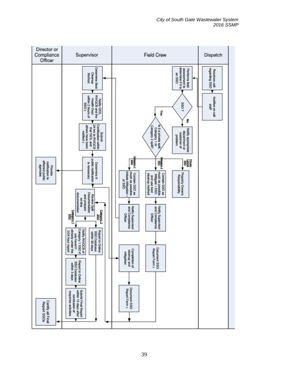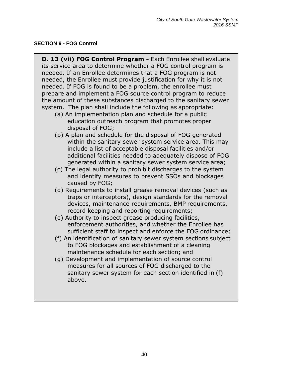# <span id="page-40-0"></span>**SECTION 9 - FOG Control**

**D. 13 (vii) FOG Control Program -** Each Enrollee shall evaluate its service area to determine whether a FOG control program is needed. If an Enrollee determines that a FOG program is not needed, the Enrollee must provide justification for why it is not needed. If FOG is found to be a problem, the enrollee must prepare and implement a FOG source control program to reduce the amount of these substances discharged to the sanitary sewer system. The plan shall include the following as appropriate:

- (a) An implementation plan and schedule for a public education outreach program that promotes proper disposal of FOG;
- (b) A plan and schedule for the disposal of FOG generated within the sanitary sewer system service area. This may include a list of acceptable disposal facilities and/or additional facilities needed to adequately dispose of FOG generated within a sanitary sewer system service area;
- (c) The legal authority to prohibit discharges to the system and identify measures to prevent SSOs and blockages caused by FOG;
- (d) Requirements to install grease removal devices (such as traps or interceptors), design standards for the removal devices, maintenance requirements, BMP requirements, record keeping and reporting requirements;
- (e) Authority to inspect grease producing facilities, enforcement authorities, and whether the Enrollee has sufficient staff to inspect and enforce the FOG ordinance;
- (f) An identification of sanitary sewer system sections subject to FOG blockages and establishment of a cleaning maintenance schedule for each section; and
- (g) Development and implementation of source control measures for all sources of FOG discharged to the sanitary sewer system for each section identified in (f) above.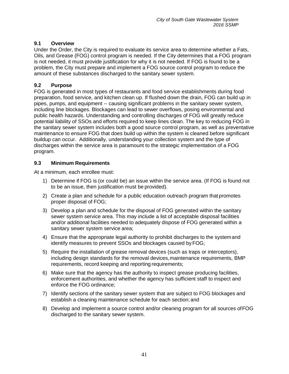# **9.1 Overview**

Under the Order, the City is required to evaluate its service area to determine whether a Fats, Oils, and Grease (FOG) control program is needed. If the City determines that a FOG program is not needed, it must provide justification for why it is not needed. If FOG is found to be a problem, the City must prepare and implement a FOG source control program to reduce the amount of these substances discharged to the sanitary sewer system.

# **9.2 Purpose**

FOG is generated in most types of restaurants and food service establishments during food preparation, food service, and kitchen clean up. If flushed down the drain, FOG can build up in pipes, pumps, and equipment -- causing significant problems in the sanitary sewer system, including line blockages. Blockages can lead to sewer overflows, posing environmental and public health hazards. Understanding and controlling discharges of FOG will greatly reduce potential liability of SSOs and efforts required to keep lines clean. The key to reducing FOG in the sanitary sewer system includes both a good source control program, as well as preventative maintenance to ensure FOG that does build up within the system is cleaned before significant buildup can occur. Additionally, understanding your collection system and the type of discharges within the service area is paramount to the strategic implementation of a FOG program.

# **9.3 Minimum Requirements**

At a minimum, each enrollee must:

- 1) Determine if FOG is (or could be) an issue within the service area. (If FOG is found not to be an issue, then justification must be provided).
- 2) Create a plan and schedule for a public education outreach program thatpromotes proper disposal of FOG;
- 3) Develop a plan and schedule for the disposal of FOG generated within the sanitary sewer system service area. This may include a list of acceptable disposal facilities and/or additional facilities needed to adequately dispose of FOG generated within a sanitary sewer system service area;
- 4) Ensure that the appropriate legal authority to prohibit discharges to the systemand identify measures to prevent SSOs and blockages caused byFOG;
- 5) Require the installation of grease removal devices (such as traps or interceptors), including design standards for the removal devices,maintenance requirements, BMP requirements, record keeping and reporting requirements;
- 6) Make sure that the agency has the authority to inspect grease producing facilities, enforcement authorities, and whether the agency has sufficient staff to inspect and enforce the FOG ordinance;
- 7) Identify sections of the sanitary sewer system that are subject to FOG blockages and establish a cleaning maintenance schedule for each section;and
- 8) Develop and implement a source control and/or cleaning program for all sources ofFOG discharged to the sanitary sewer system.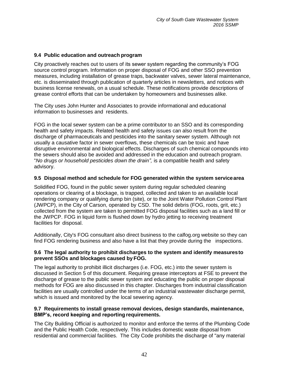#### **9.4 Public education and outreach program**

City proactively reaches out to users of its sewer system regarding the community's FOG source control program. Information on proper disposal of FOG and other SSO prevention measures, including installation of grease traps, backwater valves, sewer lateral maintenance, etc. is disseminated through publication of quarterly articles in newsletters, and notices with business license renewals, on a usual schedule. These notifications provide descriptions of grease control efforts that can be undertaken by homeowners and businesses alike.

The City uses John Hunter and Associates to provide informational and educational information to businesses and residents.

FOG in the local sewer system can be a prime contributor to an SSO and its corresponding health and safety impacts. Related health and safety issues can also result from the discharge of pharmaceuticals and pesticides into the sanitary sewer system. Although not usually a causative factor in sewer overflows, these chemicals can be toxic and have disruptive environmental and biological effects. Discharges of such chemical compounds into the sewers should also be avoided and addressed in the education and outreach program. "*No drugs or household pesticides down the drain",* is a compatible health and safety advisory.

## **9.5 Disposal method and schedule for FOG generated within the system servicearea**

Solidified FOG, found in the public sewer system during regular scheduled cleaning operations or clearing of a blockage, is trapped, collected and taken to an available local rendering company or qualifying dump bin (site), or to the Joint Water Pollution Control Plant (JWPCP), in the City of Carson, operated by CSD. The solid debris (FOG, roots, grit, etc.) collected from the system are taken to permitted FOG disposal facilities such as a land fill or the JWPCP. FOG in liquid form is flushed down by hydro jetting to receiving treatment facilities for disposal.

Additionally, City's FOG consultant also direct business to the calfog.org website so they can find FOG rendering business and also have a list that they provide during the inspections.

#### **9.6 The legal authority to prohibit discharges to the system and identify measuresto prevent SSOs and blockages caused by FOG.**

The legal authority to prohibit illicit discharges (i.e. FOG, etc.) into the sewer system is discussed in Section 5 of this document. Requiring grease interceptors at FSE to prevent the discharge of grease to the public sewer system and educating the public on proper disposal methods for FOG are also discussed in this chapter. Discharges from industrial classification facilities are usually controlled under the terms of an industrial wastewater discharge permit, which is issued and monitored by the local sewering agency.

#### **9.7 Requirements to install grease removal devices, design standards, maintenance, BMP's, record keeping and reporting requirements.**

The City Building Official is authorized to monitor and enforce the terms of the Plumbing Code and the Public Health Code, respectively. This includes domestic waste disposal from residential and commercial facilities. The City Code prohibits the discharge of "any material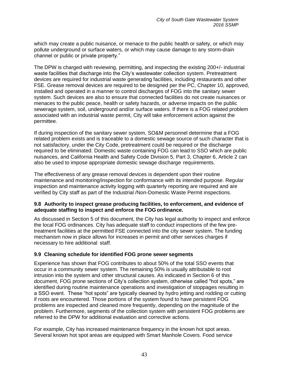which may create a public nuisance, or menace to the public health or safety, or which may pollute underground or surface waters, or which may cause damage to any storm-drain channel or public or private property."

The DPW is charged with reviewing, permitting, and inspecting the existing 200+/- industrial waste facilities that discharge into the City's wastewater collection system. Pretreatment devices are required for industrial waste generating facilities, including restaurants and other FSE. Grease removal devices are required to be designed per the PC, Chapter 10, approved, installed and operated in a manner to control discharges of FOG into the sanitary sewer system. Such devices are also to ensure that connected facilities do not create nuisances or menaces to the public peace, health or safety hazards, or adverse impacts on the public sewerage system, soil, underground and/or surface waters. If there is a FOG related problem associated with an industrial waste permit, City will take enforcement action against the permittee.

If during inspection of the sanitary sewer system, SO&M personnel determine that a FOG related problem exists and is traceable to a domestic sewage source of such character that is not satisfactory, under the City Code, pretreatment could be required or the discharge required to be eliminated. Domestic waste containing FOG can lead to SSO which are public nuisances, and California Health and Safety Code Division 5, Part 3, Chapter 6, Article 2 can also be used to impose appropriate domestic sewage discharge requirements.

The effectiveness of any grease removal devices is dependent upon their routine maintenance and monitoring/inspection for conformance with its intended purpose. Regular inspection and maintenance activity logging with quarterly reporting are required and are verified by City staff as part of the Industrial /Non-Domestic Waste Permit inspections.

#### **9.8 Authority to inspect grease producing facilities, to enforcement, and evidence of adequate staffing to inspect and enforce the FOG ordinance.**

As discussed in Section 5 of this document, the City has legal authority to inspect and enforce the local FOG ordinances. City has adequate staff to conduct inspections of the few pretreatment facilities at the permitted FSE connected into the city sewer system. The funding mechanism now in place allows for increases in permit and other services charges if necessary to hire additional staff.

#### **9.9 Cleaning schedule for identified FOG prone sewer segments**

Experience has shown that FOG contributes to about 50% of the total SSO events that occur in a community sewer system. The remaining 50% is usually attributable to root intrusion into the system and other structural causes. As indicated in Section 6 of this document, FOG prone sections of City's collection system, otherwise called "hot spots," are identified during routine maintenance operations and investigation of stoppages resulting in a SSO event. These "hot spots" are typically cleaned by hydro jetting and rodding or cutting if roots are encountered. Those portions of the system found to have persistent FOG problems are inspected and cleaned more frequently, depending on the magnitude of the problem. Furthermore, segments of the collection system with persistent FOG problems are referred to the DPW for additional evaluation and corrective actions.

For example, City has increased maintenance frequency in the known hot spot areas. Several known hot spot areas are equipped with Smart Manhole Covers. Food service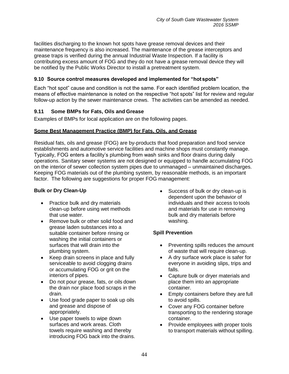facilities discharging to the known hot spots have grease removal devices and their maintenance frequency is also increased. The maintenance of the grease interceptors and grease traps is verified during the annual Industrial Waste Inspection. If a facility is contributing excess amount of FOG and they do not have a grease removal device they will be notified by the Public Works Director to install a pretreatment system.

## **9.10 Source control measures developed and implemented for "hot spots"**

Each "hot spot" cause and condition is not the same. For each identified problem location, the means of effective maintenance is noted on the respective "hot spots" list for review and regular follow-up action by the sewer maintenance crews. The activities can be amended as needed.

## **9.11 Some BMPs for Fats, Oils and Grease**

Examples of BMPs for local application are on the following pages.

#### **Some Best Management Practice (BMP) for Fats, Oils, and Grease**

Residual fats, oils and grease (FOG) are by-products that food preparation and food service establishments and automotive service facilities and machine shops must constantly manage. Typically, FOG enters a facility's plumbing from wash sinks and floor drains during daily operations. Sanitary sewer systems are not designed or equipped to handle accumulating FOG on the interior of sewer collection system pipes due to unmanaged – unmaintained discharges. Keeping FOG materials out of the plumbing system, by reasonable methods, is an important factor. The following are suggestions for proper FOG management:

#### **Bulk or Dry Clean-Up**

- Practice bulk and dry materials clean-up before using wet methods that use water.
- Remove bulk or other solid food and grease laden substances into a suitable container before rinsing or washing the initial containers or surfaces that will drain into the plumbing system.
- Keep drain screens in place and fully serviceable to avoid clogging drains or accumulating FOG or grit on the interiors of pipes.
- Do not pour grease, fats, or oils down the drain nor place food scraps in the drain.
- Use food grade paper to soak up oils and grease and dispose of appropriately.
- Use paper towels to wipe down surfaces and work areas. Cloth towels require washing and thereby introducing FOG back into the drains.

• Success of bulk or dry clean-up is dependent upon the behavior of individuals and their access to tools and materials for use in removing bulk and dry materials before washing.

#### **Spill Prevention**

- Preventing spills reduces the amount of waste that will require clean-up.
- A dry surface work place is safer for everyone in avoiding slips, trips and falls.
- Capture bulk or dryer materials and place them into an appropriate container.
- **Empty containers before they are full** to avoid spills.
- Cover any FOG container before transporting to the rendering storage container.
- Provide employees with proper tools to transport materials without spilling.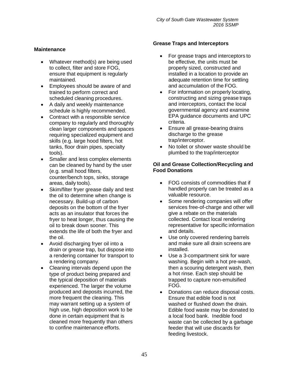## **Maintenance**

- Whatever method(s) are being used to collect, filter and store FOG, ensure that equipment is regularly maintained.
- Employees should be aware of and trained to perform correct and scheduled cleaning procedures.
- A daily and weekly maintenance schedule is highly recommended.
- Contract with a responsible service company to regularly and thoroughly clean larger components and spaces requiring specialized equipment and skills (e.g. large hood filters, hot tanks, floor drain pipes, specialty tools).
- Smaller and less complex elements can be cleaned by hand by the user (e.g. small hood filters, counter/bench tops, sinks, storage areas, daily tools).
- Skim/filter fryer grease daily and test the oil to determine when change is necessary. Build-up of carbon deposits on the bottom of the fryer acts as an insulator that forces the fryer to heat longer, thus causing the oil to break down sooner. This extends the life of both the fryer and the oil.
- Avoid discharging fryer oil into a drain or grease trap, but dispose into a rendering container for transport to a rendering company.
- Cleaning intervals depend upon the type of product being prepared and the typical deposition of materials experienced. The larger the volume produced and deposits incurred, the more frequent the cleaning. This may warrant setting up a system of high use, high deposition work to be done in certain equipment that is cleaned more frequently than others to confine maintenance efforts.

#### **Grease Traps and Interceptors**

- For grease traps and interceptors to be effective, the units must be properly sized, constructed and installed in a location to provide an adequate retention time for settling and accumulation of the FOG.
- For information on properly locating, constructing and sizing grease traps and interceptors, contact the local governmental agency and examine EPA guidance documents and UPC criteria.
- Ensure all grease-bearing drains discharge to the grease trap/interceptor.
- No toilet or shower waste should be plumbed to the trap/interceptor

#### **Oil and Grease Collection/Recycling and Food Donations**

- FOG consists of commodities that if handled properly can be treated as a valuable resource.
- Some rendering companies will offer services free-of-charge and other will give a rebate on the materials collected. Contact local rendering representative for specific information and details.
- Use only covered rendering barrels and make sure all drain screens are installed.
- Use a 3-compartment sink for ware washing. Begin with a hot pre-wash, then a scouring detergent wash, then a hot rinse. Each step should be trapped to capture non-emulsified FOG.
- Donations can reduce disposal costs. Ensure that edible food is not washed or flushed down the drain. Edible food waste may be donated to a local food bank. Inedible food waste can be collected by a garbage feeder that will use discards for feeding livestock.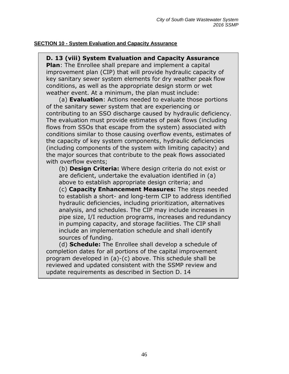## <span id="page-46-0"></span>**SECTION 10 - System Evaluation and Capacity Assurance**

**D. 13 (viii) System Evaluation and Capacity Assurance** 

**Plan**: The Enrollee shall prepare and implement a capital improvement plan (CIP) that will provide hydraulic capacity of key sanitary sewer system elements for dry weather peak flow conditions, as well as the appropriate design storm or wet weather event. At a minimum, the plan must include:

(a) **Evaluation**: Actions needed to evaluate those portions of the sanitary sewer system that are experiencing or contributing to an SSO discharge caused by hydraulic deficiency. The evaluation must provide estimates of peak flows (including flows from SSOs that escape from the system) associated with conditions similar to those causing overflow events, estimates of the capacity of key system components, hydraulic deficiencies (including components of the system with limiting capacity) and the major sources that contribute to the peak flows associated with overflow events;

(b) **Design Criteria:** Where design criteria do not exist or are deficient, undertake the evaluation identified in (a) above to establish appropriate design criteria; and

(c) **Capacity Enhancement Measures:** The steps needed to establish a short- and long-term CIP to address identified hydraulic deficiencies, including prioritization, alternatives analysis, and schedules. The CIP may include increases in pipe size, I/I reduction programs, increases and redundancy in pumping capacity, and storage facilities. The CIP shall include an implementation schedule and shall identify sources of funding.

(d) **Schedule:** The Enrollee shall develop a schedule of completion dates for all portions of the capital improvement program developed in (a)-(c) above. This schedule shall be reviewed and updated consistent with the SSMP review and update requirements as described in Section D. 14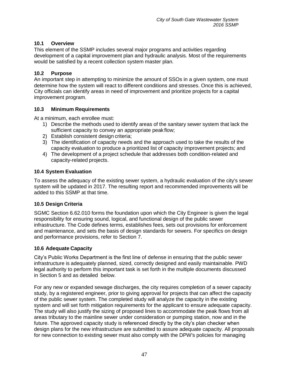# **10.1 Overview**

This element of the SSMP includes several major programs and activities regarding development of a capital improvement plan and hydraulic analysis. Most of the requirements would be satisfied by a recent collection system master plan.

## **10.2 Purpose**

An important step in attempting to minimize the amount of SSOs in a given system, one must determine how the system will react to different conditions and stresses. Once this is achieved, City officials can identify areas in need of improvement and prioritize projects for a capital improvement program.

#### **10.3 Minimum Requirements**

At a minimum, each enrollee must:

- 1) Describe the methods used to identify areas of the sanitary sewer system that lack the sufficient capacity to convey an appropriate peak flow;
- 2) Establish consistent design criteria;
- 3) The identification of capacity needs and the approach used to take the results of the capacity evaluation to produce a prioritized list of capacity improvement projects; and
- 4) The development of a project schedule that addresses both condition-related and capacity-related projects.

#### **10.4 System Evaluation**

To assess the adequacy of the existing sewer system, a hydraulic evaluation of the city's sewer system will be updated in 2017. The resulting report and recommended improvements will be added to this SSMP at that time.

#### **10.5 Design Criteria**

SGMC Section 6.62.010 forms the foundation upon which the City Engineer is given the legal responsibility for ensuring sound, logical, and functional design of the public sewer infrastructure. The Code defines terms, establishes fees, sets out provisions for enforcement and maintenance, and sets the basis of design standards for sewers. For specifics on design and performance provisions, refer to Section 7.

# **10.6 Adequate Capacity**

City's Public Works Department is the first line of defense in ensuring that the public sewer infrastructure is adequately planned, sized, correctly designed and easily maintainable. PWD legal authority to perform this important task is set forth in the multiple documents discussed in Section 5 and as detailed below.

For any new or expanded sewage discharges, the city requires completion of a sewer capacity study, by a registered engineer, prior to giving approval for projects that can affect the capacity of the public sewer system. The completed study will analyze the capacity in the existing system and will set forth mitigation requirements for the applicant to ensure adequate capacity. The study will also justify the sizing of proposed lines to accommodate the peak flows from all areas tributary to the mainline sewer under consideration or pumping station, now and in the future. The approved capacity study is referenced directly by the city's plan checker when design plans for the new infrastructure are submitted to assure adequate capacity. All proposals for new connection to existing sewer must also comply with the DPW's policies for managing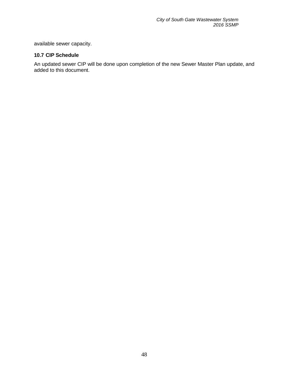available sewer capacity.

# **10.7 CIP Schedule**

An updated sewer CIP will be done upon completion of the new Sewer Master Plan update, and added to this document.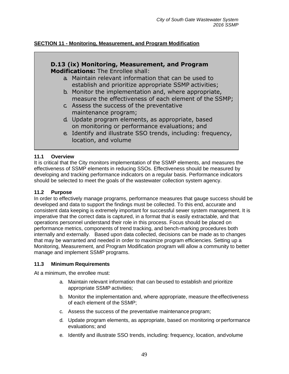## <span id="page-49-0"></span>**SECTION 11 - Monitoring, Measurement, and Program Modification**

| D.13 (ix) Monitoring, Measurement, and Program                                                                  |
|-----------------------------------------------------------------------------------------------------------------|
| <b>Modifications: The Enrollee shall:</b>                                                                       |
| a. Maintain relevant information that can be used to<br>establish and prioritize appropriate SSMP activities;   |
| b. Monitor the implementation and, where appropriate,<br>measure the effectiveness of each element of the SSMP; |
| c Assess the success of the preventative<br>maintenance program;                                                |
| d. Update program elements, as appropriate, based<br>on monitoring or performance evaluations; and              |
| e. Identify and illustrate SSO trends, including: frequency,<br>location, and volume                            |

#### **11.1 Overview**

It is critical that the City monitors implementation of the SSMP elements, and measures the effectiveness of SSMP elements in reducing SSOs. Effectiveness should be measured by developing and tracking performance indicators on a regular basis. Performance indicators should be selected to meet the goals of the wastewater collection system agency.

#### **11.2 Purpose**

In order to effectively manage programs, performance measures that gauge success should be developed and data to support the findings must be collected. To this end, accurate and consistent data keeping is extremely important for successful sewer system management. It is imperative that the correct data is captured, in a format that is easily extractable, and that operations personnel understand their role in this process. Focus should be placed on performance metrics, components of trend tracking, and bench-marking procedures both internally and externally. Based upon data collected, decisions can be made as to changes that may be warranted and needed in order to maximize program efficiencies. Setting up a Monitoring, Measurement, and Program Modification program will allow a community to better manage and implement SSMP programs.

#### **11.3 Minimum Requirements**

At a minimum, the enrollee must:

- a. Maintain relevant information that can beused to establish and prioritize appropriate SSMP activities;
- b. Monitor the implementation and, where appropriate, measure theeffectiveness of each element of the SSMP;
- c. Assess the success of the preventative maintenance program;
- d. Update program elements, as appropriate, based on monitoring orperformance evaluations; and
- e. Identify and illustrate SSO trends, including: frequency, location, andvolume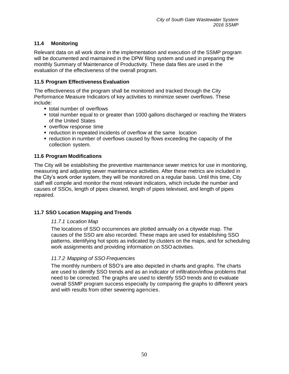# **11.4 Monitoring**

Relevant data on all work done in the implementation and execution of the SSMP program will be documented and maintained in the DPW filing system and used in preparing the monthly Summary of Maintenance of Productivity. These data files are used in the evaluation of the effectiveness of the overall program.

# **11.5 Program Effectiveness Evaluation**

The effectiveness of the program shall be monitored and tracked through the City Performance Measure Indicators of key activities to minimize sewer overflows. These include:

- total number of overflows
- total number equal to or greater than 1000 gallons discharged or reaching the Waters of the United States
- overflow response time
- **•** reduction in repeated incidents of overflow at the same location
- reduction in number of overflows caused by flows exceeding the capacity of the collection system.

# **11.6 Program Modifications**

The City will be establishing the preventive maintenance sewer metrics for use in monitoring, measuring and adjusting sewer maintenance activities. After these metrics are included in the City's work order system, they will be monitored on a regular basis. Until this time, City staff will compile and monitor the most relevant indicators, which include the number and causes of SSOs, length of pipes cleaned, length of pipes televised, and length of pipes repaired.

# **11.7 SSO Location Mapping and Trends**

# *11.7.1 Location Map*

The locations of SSO occurrences are plotted annually on a citywide map. The causes of the SSO are also recorded. These maps are used for establishing SSO patterns, identifying hot spots as indicated by clusters on the maps, and for scheduling work assignments and providing information on SSOactivities.

# *11.7.2 Mapping of SSO Frequencies*

The monthly numbers of SSO's are also depicted in charts and graphs. The charts are used to identify SSO trends and as an indicator of infiltration/inflow problems that need to be corrected. The graphs are used to identify SSO trends and to evaluate overall SSMP program success especially by comparing the graphs to different years and with results from other sewering agencies.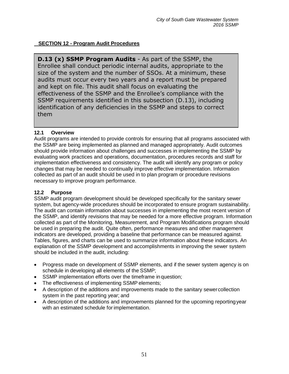# <span id="page-51-0"></span> **SECTION 12 - Program Audit Procedures**

**D.13 (x) SSMP Program Audits** - As part of the SSMP, the Enrollee shall conduct periodic internal audits, appropriate to the size of the system and the number of SSOs. At a minimum, these audits must occur every two years and a report must be prepared and kept on file. This audit shall focus on evaluating the effectiveness of the SSMP and the Enrollee's compliance with the SSMP requirements identified in this subsection (D.13), including identification of any deficiencies in the SSMP and steps to correct them

# **12.1 Overview**

Audit programs are intended to provide controls for ensuring that all programs associated with the SSMP are being implemented as planned and managed appropriately. Audit outcomes should provide information about challenges and successes in implementing the SSMP by evaluating work practices and operations, documentation, procedures records and staff for implementation effectiveness and consistency. The audit will identify any program or policy changes that may be needed to continually improve effective implementation. Information collected as part of an audit should be used in to plan program or procedure revisions necessary to improve program performance.

# **12.2 Purpose**

SSMP audit program development should be developed specifically for the sanitary sewer system, but agency-wide procedures should be incorporated to ensure program sustainability. The audit can contain information about successes in implementing the most recent version of the SSMP, and identify revisions that may be needed for a more effective program. Information collected as part of the Monitoring, Measurement, and Program Modifications program should be used in preparing the audit. Quite often, performance measures and other management indicators are developed, providing a baseline that performance can be measured against. Tables, figures, and charts can be used to summarize information about these indicators. An explanation of the SSMP development and accomplishments in improving the sewer system should be included in the audit, including:

- Progress made on development of SSMP elements, and if the sewer system agency is on schedule in developing all elements of the SSMP;
- SSMP implementation efforts over the timeframe in question;
- The effectiveness of implementing SSMP elements;
- A description of the additions and improvements made to the sanitary sewercollection system in the past reporting year; and
- A description of the additions and improvements planned for the upcoming reportingyear with an estimated schedule for implementation.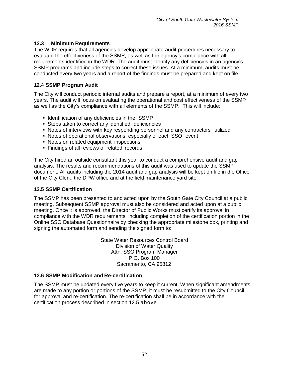## **12.3 Minimum Requirements**

The WDR requires that all agencies develop appropriate audit procedures necessary to evaluate the effectiveness of the SSMP, as well as the agency's compliance with all requirements identified in the WDR. The audit must identify any deficiencies in an agency's SSMP programs and include steps to correct these issues. At a minimum, audits must be conducted every two years and a report of the findings must be prepared and kept on file.

## **12.4 SSMP Program Audit**

The City will conduct periodic internal audits and prepare a report, at a minimum of every two years. The audit will focus on evaluating the operational and cost effectiveness of the SSMP as well as the City's compliance with all elements of the SSMP. This will include:

- **IDENTIFICATE:** Identification of any deficiencies in the SSMP
- **Steps taken to correct any identified deficiencies**
- Notes of interviews with key responding personnel and any contractors utilized
- Notes of operational observations, especially of each SSO event
- Notes on related equipment inspections
- **Findings of all reviews of related records**

The City hired an outside consultant this year to conduct a comprehensive audit and gap analysis. The results and recommendations of this audit was used to update the SSMP document. All audits including the 2014 audit and gap analysis will be kept on file in the Office of the City Clerk, the DPW office and at the field maintenance yard site.

#### **12.5 SSMP Certification**

The SSMP has been presented to and acted upon by the South Gate City Council at a public meeting. Subsequent SSMP approval must also be considered and acted upon at a public meeting. Once it is approved, the Director of Public Works must certify its approval in compliance with the WDR requirements, including completion of the certification portion in the Online SSO Database Questionnaire by checking the appropriate milestone box, printing and signing the automated form and sending the signed form to:

> State Water Resources Control Board Division of Water Quality Attn: SSO Program Manager P.O. Box 100 Sacramento, CA 95812

#### **12.6 SSMP Modification and Re-certification**

The SSMP must be updated every five years to keep it current. When significant amendments are made to any portion or portions of the SSMP, it must be resubmitted to the City Council for approval and re-certification. The re-certification shall be in accordance with the certification process described in section 12.5 above.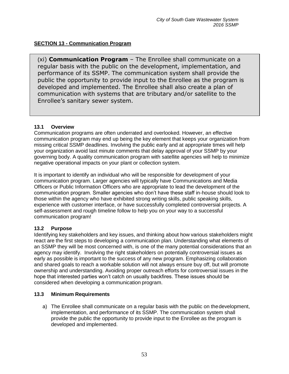# <span id="page-53-0"></span>**SECTION 13 - Communication Program**

(xi) **Communication Program** – The Enrollee shall communicate on a regular basis with the public on the development, implementation, and performance of its SSMP. The communication system shall provide the public the opportunity to provide input to the Enrollee as the program is developed and implemented. The Enrollee shall also create a plan of communication with systems that are tributary and/or satellite to the Enrollee's sanitary sewer system.

# **13.1 Overview**

Communication programs are often underrated and overlooked. However, an effective communication program may end up being the key element that keeps your organization from missing critical SSMP deadlines. Involving the public early and at appropriate times will help your organization avoid last minute comments that delay approval of your SSMP by your governing body. A quality communication program with satellite agencies will help to minimize negative operational impacts on your plant or collection system.

It is important to identify an individual who will be responsible for development of your communication program. Larger agencies will typically have Communications and Media Officers or Public Information Officers who are appropriate to lead the development of the communication program. Smaller agencies who don't have these staff in-house should look to those within the agency who have exhibited strong writing skills, public speaking skills, experience with customer interface, or have successfully completed controversial projects. A self-assessment and rough timeline follow to help you on your way to a successful communication program!

# **13.2 Purpose**

Identifying key stakeholders and key issues, and thinking about how various stakeholders might react are the first steps to developing a communication plan. Understanding what elements of an SSMP they will be most concerned with, is one of the many potential considerations that an agency may identify. Involving the right stakeholders on potentially controversial issues as early as possible is important to the success of any new program. Emphasizing collaboration and shared goals to reach a workable solution will not always ensure buy off, but will promote ownership and understanding. Avoiding proper outreach efforts for controversial issues in the hope that interested parties won't catch on usually backfires. These issues should be considered when developing a communication program.

# **13.3 Minimum Requirements**

a) The Enrollee shall communicate on a regular basis with the public on thedevelopment, implementation, and performance of its SSMP. The communication system shall provide the public the opportunity to provide input to the Enrollee as the program is developed and implemented.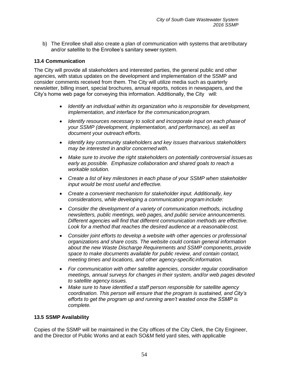b) The Enrollee shall also create a plan of communication with systems that aretributary and/or satellite to the Enrollee's sanitary sewer system.

#### **13.4 Communication**

The City will provide all stakeholders and interested parties, the general public and other agencies, with status updates on the development and implementation of the SSMP and consider comments received from them. The City will utilize media such as quarterly newsletter, billing insert, special brochures, annual reports, notices in newspapers, and the City's home web page for conveying this information. Additionally, the City will:

- *Identify an individual within its organization who is responsible for development, implementation, and interface for the communication program.*
- *Identify resources necessary to solicit and incorporate input on each phaseof your SSMP (development, implementation, and performance), as well as document your outreach efforts.*
- *Identify key community stakeholders and key issues thatvarious stakeholders may be interested in and/or concerned with.*
- *Make sure to involve the right stakeholders on potentially controversial issuesas early as possible. Emphasize collaboration and shared goals to reach a workable solution.*
- *Create a list of key milestones in each phase of your SSMP when stakeholder input would be most useful and effective.*
- *Create a convenient mechanism for stakeholder input. Additionally, key considerations, while developing a communication program include:*
- *Consider the development of a variety of communication methods, including newsletters, public meetings, web pages, and public service announcements. Different agencies will find that different communication methods are effective. Look for a method that reaches the desired audience at a reasonablecost.*
- *Consider joint efforts to develop a website with other agencies or professional organizations and share costs. The website could contain general information about the new Waste Discharge Requirements and SSMP components, provide space to make documents available for public review, and contain contact, meeting times and locations, and other agency-specificinformation.*
- *For communication with other satellite agencies, consider regular coordination meetings, annual surveys for changes in their system, and/or web pages devoted to satellite agency issues.*
- *Make sure to have identified a staff person responsible for satellite agency coordination. This person will ensure that the program is sustained, and City's efforts to get the program up and running aren't wasted once the SSMP is complete.*

#### **13.5 SSMP Availability**

Copies of the SSMP will be maintained in the City offices of the City Clerk, the City Engineer, and the Director of Public Works and at each SO&M field yard sites, with applicable